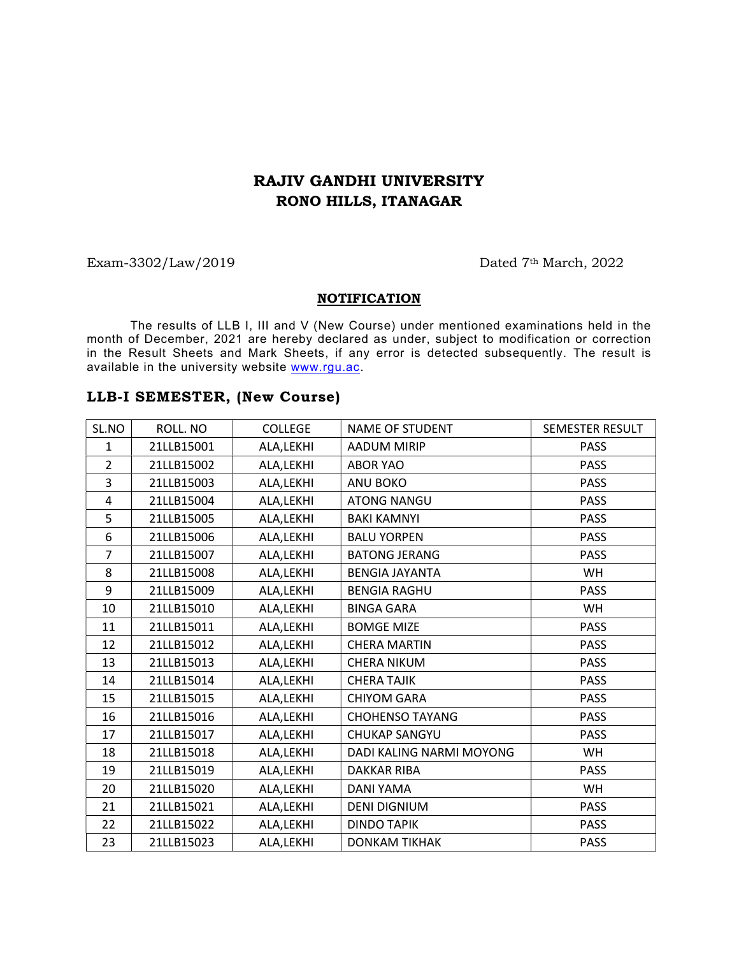## RAJIV GANDHI UNIVERSITY RONO HILLS, ITANAGAR

#### Exam-3302/Law/2019 Dated 7<sup>th</sup> March, 2022

#### **NOTIFICATION**

The results of LLB I, III and V (New Course) under mentioned examinations held in the month of December, 2021 are hereby declared as under, subject to modification or correction in the Result Sheets and Mark Sheets, if any error is detected subsequently. The result is available in the university website www.rgu.ac.

### LLB-I SEMESTER, (New Course)

| SL.NO          | ROLL. NO   | <b>COLLEGE</b> | <b>NAME OF STUDENT</b>   | SEMESTER RESULT |
|----------------|------------|----------------|--------------------------|-----------------|
| $\mathbf{1}$   | 21LLB15001 | ALA, LEKHI     | <b>AADUM MIRIP</b>       | <b>PASS</b>     |
| $\overline{2}$ | 21LLB15002 | ALA, LEKHI     | <b>ABOR YAO</b>          | <b>PASS</b>     |
| 3              | 21LLB15003 | ALA, LEKHI     | ANU BOKO                 | <b>PASS</b>     |
| 4              | 21LLB15004 | ALA, LEKHI     | <b>ATONG NANGU</b>       | <b>PASS</b>     |
| 5              | 21LLB15005 | ALA, LEKHI     | <b>BAKI KAMNYI</b>       | <b>PASS</b>     |
| 6              | 21LLB15006 | ALA, LEKHI     | <b>BALU YORPEN</b>       | <b>PASS</b>     |
| $\overline{7}$ | 21LLB15007 | ALA, LEKHI     | <b>BATONG JERANG</b>     | <b>PASS</b>     |
| 8              | 21LLB15008 | ALA,LEKHI      | <b>BENGIA JAYANTA</b>    | <b>WH</b>       |
| 9              | 21LLB15009 | ALA, LEKHI     | <b>BENGIA RAGHU</b>      | <b>PASS</b>     |
| 10             | 21LLB15010 | ALA, LEKHI     | <b>BINGA GARA</b>        | WH              |
| 11             | 21LLB15011 | ALA, LEKHI     | <b>BOMGE MIZE</b>        | <b>PASS</b>     |
| 12             | 21LLB15012 | ALA, LEKHI     | <b>CHERA MARTIN</b>      | <b>PASS</b>     |
| 13             | 21LLB15013 | ALA, LEKHI     | CHERA NIKUM              | <b>PASS</b>     |
| 14             | 21LLB15014 | ALA, LEKHI     | <b>CHERA TAJIK</b>       | <b>PASS</b>     |
| 15             | 21LLB15015 | ALA,LEKHI      | <b>CHIYOM GARA</b>       | <b>PASS</b>     |
| 16             | 21LLB15016 | ALA, LEKHI     | <b>CHOHENSO TAYANG</b>   | <b>PASS</b>     |
| 17             | 21LLB15017 | ALA, LEKHI     | <b>CHUKAP SANGYU</b>     | <b>PASS</b>     |
| 18             | 21LLB15018 | ALA, LEKHI     | DADI KALING NARMI MOYONG | <b>WH</b>       |
| 19             | 21LLB15019 | ALA, LEKHI     | <b>DAKKAR RIBA</b>       | <b>PASS</b>     |
| 20             | 21LLB15020 | ALA, LEKHI     | DANI YAMA                | <b>WH</b>       |
| 21             | 21LLB15021 | ALA, LEKHI     | <b>DENI DIGNIUM</b>      | <b>PASS</b>     |
| 22             | 21LLB15022 | ALA, LEKHI     | <b>DINDO TAPIK</b>       | <b>PASS</b>     |
| 23             | 21LLB15023 | ALA, LEKHI     | <b>DONKAM TIKHAK</b>     | <b>PASS</b>     |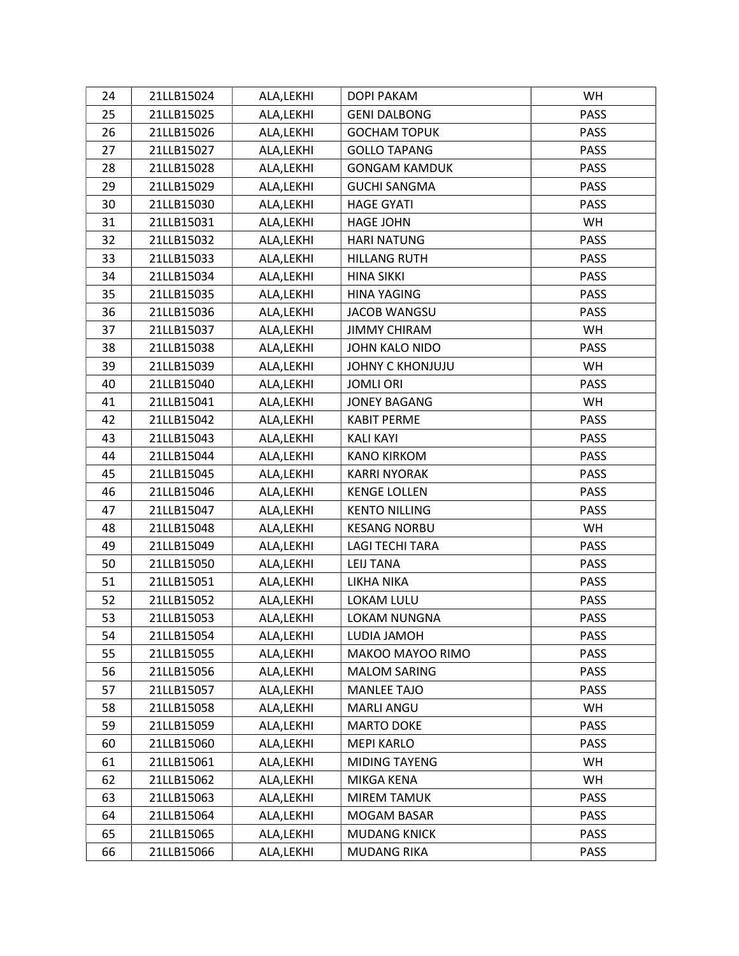| 24 | 21LLB15024 | ALA, LEKHI | DOPI PAKAM             | WH          |
|----|------------|------------|------------------------|-------------|
| 25 | 21LLB15025 | ALA, LEKHI | <b>GENI DALBONG</b>    | <b>PASS</b> |
| 26 | 21LLB15026 | ALA, LEKHI | <b>GOCHAM TOPUK</b>    | <b>PASS</b> |
| 27 | 21LLB15027 | ALA, LEKHI | <b>GOLLO TAPANG</b>    | <b>PASS</b> |
| 28 | 21LLB15028 | ALA,LEKHI  | <b>GONGAM KAMDUK</b>   | <b>PASS</b> |
| 29 | 21LLB15029 | ALA, LEKHI | <b>GUCHI SANGMA</b>    | PASS        |
| 30 | 21LLB15030 | ALA, LEKHI | <b>HAGE GYATI</b>      | <b>PASS</b> |
| 31 | 21LLB15031 | ALA, LEKHI | <b>HAGE JOHN</b>       | WH          |
| 32 | 21LLB15032 | ALA,LEKHI  | <b>HARI NATUNG</b>     | <b>PASS</b> |
| 33 | 21LLB15033 | ALA, LEKHI | <b>HILLANG RUTH</b>    | PASS        |
| 34 | 21LLB15034 | ALA, LEKHI | <b>HINA SIKKI</b>      | <b>PASS</b> |
| 35 | 21LLB15035 | ALA, LEKHI | <b>HINA YAGING</b>     | <b>PASS</b> |
| 36 | 21LLB15036 | ALA,LEKHI  | <b>JACOB WANGSU</b>    | <b>PASS</b> |
| 37 | 21LLB15037 | ALA, LEKHI | <b>JIMMY CHIRAM</b>    | <b>WH</b>   |
| 38 | 21LLB15038 | ALA, LEKHI | JOHN KALO NIDO         | <b>PASS</b> |
| 39 | 21LLB15039 | ALA, LEKHI | JOHNY C KHONJUJU       | WH          |
| 40 | 21LLB15040 | ALA, LEKHI | <b>JOMLI ORI</b>       | <b>PASS</b> |
| 41 | 21LLB15041 | ALA, LEKHI | <b>JONEY BAGANG</b>    | <b>WH</b>   |
| 42 | 21LLB15042 | ALA, LEKHI | <b>KABIT PERME</b>     | <b>PASS</b> |
| 43 | 21LLB15043 | ALA, LEKHI | <b>KALI KAYI</b>       | <b>PASS</b> |
| 44 | 21LLB15044 | ALA, LEKHI | <b>KANO KIRKOM</b>     | PASS        |
| 45 | 21LLB15045 | ALA, LEKHI | <b>KARRI NYORAK</b>    | <b>PASS</b> |
| 46 | 21LLB15046 | ALA, LEKHI | <b>KENGE LOLLEN</b>    | <b>PASS</b> |
| 47 | 21LLB15047 | ALA, LEKHI | <b>KENTO NILLING</b>   | <b>PASS</b> |
| 48 | 21LLB15048 | ALA, LEKHI | <b>KESANG NORBU</b>    | WH          |
| 49 | 21LLB15049 | ALA,LEKHI  | <b>LAGI TECHI TARA</b> | <b>PASS</b> |
| 50 | 21LLB15050 | ALA, LEKHI | <b>LEIJ TANA</b>       | <b>PASS</b> |
| 51 | 21LLB15051 | ALA,LEKHI  | LIKHA NIKA             | <b>PASS</b> |
| 52 | 21LLB15052 | ALA,LEKHI  | LOKAM LULU             | <b>PASS</b> |
| 53 | 21LLB15053 | ALA, LEKHI | LOKAM NUNGNA           | <b>PASS</b> |
| 54 | 21LLB15054 | ALA, LEKHI | LUDIA JAMOH            | <b>PASS</b> |
| 55 | 21LLB15055 | ALA, LEKHI | MAKOO MAYOO RIMO       | <b>PASS</b> |
| 56 | 21LLB15056 | ALA, LEKHI | <b>MALOM SARING</b>    | <b>PASS</b> |
| 57 | 21LLB15057 | ALA, LEKHI | MANLEE TAJO            | <b>PASS</b> |
| 58 | 21LLB15058 | ALA, LEKHI | <b>MARLI ANGU</b>      | WH.         |
| 59 | 21LLB15059 | ALA, LEKHI | <b>MARTO DOKE</b>      | <b>PASS</b> |
| 60 | 21LLB15060 | ALA, LEKHI | <b>MEPI KARLO</b>      | <b>PASS</b> |
| 61 | 21LLB15061 | ALA, LEKHI | <b>MIDING TAYENG</b>   | <b>WH</b>   |
| 62 | 21LLB15062 | ALA, LEKHI | MIKGA KENA             | WH          |
| 63 | 21LLB15063 | ALA, LEKHI | <b>MIREM TAMUK</b>     | <b>PASS</b> |
| 64 | 21LLB15064 | ALA, LEKHI | MOGAM BASAR            | <b>PASS</b> |
| 65 | 21LLB15065 | ALA, LEKHI | <b>MUDANG KNICK</b>    | <b>PASS</b> |
| 66 | 21LLB15066 | ALA, LEKHI | <b>MUDANG RIKA</b>     | PASS        |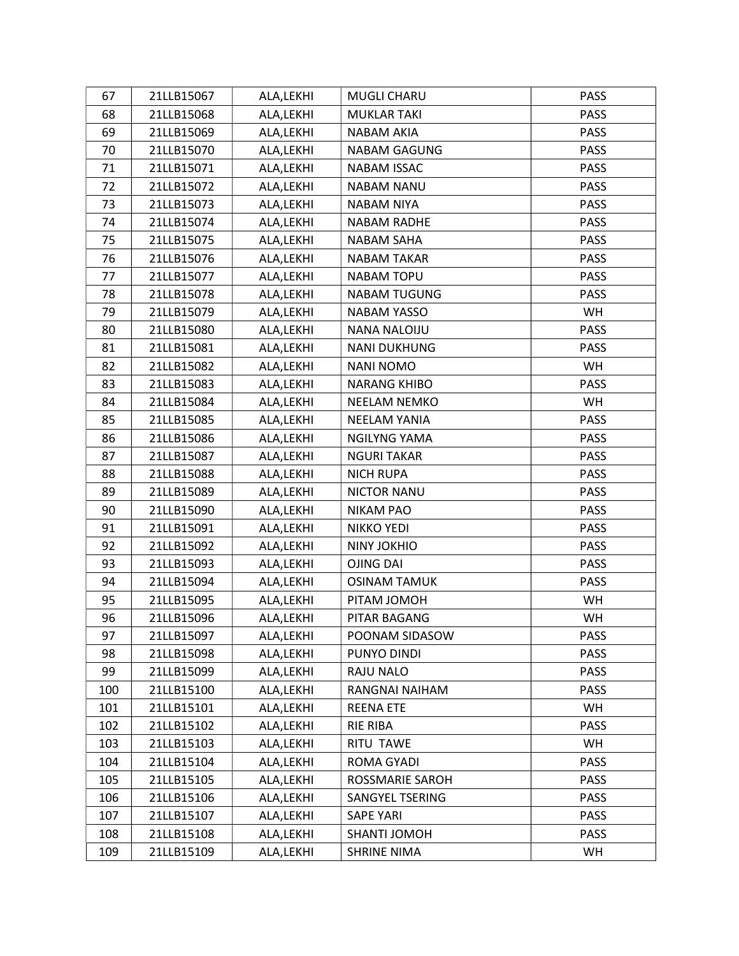| 67  | 21LLB15067 | ALA, LEKHI | MUGLI CHARU            | PASS        |
|-----|------------|------------|------------------------|-------------|
| 68  | 21LLB15068 | ALA, LEKHI | <b>MUKLAR TAKI</b>     | <b>PASS</b> |
| 69  | 21LLB15069 | ALA, LEKHI | NABAM AKIA             | <b>PASS</b> |
| 70  | 21LLB15070 | ALA, LEKHI | <b>NABAM GAGUNG</b>    | <b>PASS</b> |
| 71  | 21LLB15071 | ALA, LEKHI | <b>NABAM ISSAC</b>     | <b>PASS</b> |
| 72  | 21LLB15072 | ALA, LEKHI | <b>NABAM NANU</b>      | PASS        |
| 73  | 21LLB15073 | ALA, LEKHI | NABAM NIYA             | <b>PASS</b> |
| 74  | 21LLB15074 | ALA, LEKHI | <b>NABAM RADHE</b>     | PASS        |
| 75  | 21LLB15075 | ALA, LEKHI | <b>NABAM SAHA</b>      | <b>PASS</b> |
| 76  | 21LLB15076 | ALA, LEKHI | <b>NABAM TAKAR</b>     | <b>PASS</b> |
| 77  | 21LLB15077 | ALA, LEKHI | <b>NABAM TOPU</b>      | <b>PASS</b> |
| 78  | 21LLB15078 | ALA, LEKHI | <b>NABAM TUGUNG</b>    | <b>PASS</b> |
| 79  | 21LLB15079 | ALA, LEKHI | NABAM YASSO            | WH          |
| 80  | 21LLB15080 | ALA, LEKHI | <b>NANA NALOIJU</b>    | PASS        |
| 81  | 21LLB15081 | ALA, LEKHI | <b>NANI DUKHUNG</b>    | <b>PASS</b> |
| 82  | 21LLB15082 | ALA, LEKHI | <b>NANI NOMO</b>       | <b>WH</b>   |
| 83  | 21LLB15083 | ALA, LEKHI | <b>NARANG KHIBO</b>    | <b>PASS</b> |
| 84  | 21LLB15084 | ALA, LEKHI | NEELAM NEMKO           | WH          |
| 85  | 21LLB15085 | ALA, LEKHI | <b>NEELAM YANIA</b>    | <b>PASS</b> |
| 86  | 21LLB15086 | ALA,LEKHI  | <b>NGILYNG YAMA</b>    | <b>PASS</b> |
| 87  | 21LLB15087 | ALA, LEKHI | <b>NGURI TAKAR</b>     | <b>PASS</b> |
| 88  | 21LLB15088 | ALA, LEKHI | <b>NICH RUPA</b>       | <b>PASS</b> |
| 89  | 21LLB15089 | ALA, LEKHI | <b>NICTOR NANU</b>     | <b>PASS</b> |
| 90  | 21LLB15090 | ALA, LEKHI | <b>NIKAM PAO</b>       | <b>PASS</b> |
| 91  | 21LLB15091 | ALA, LEKHI | <b>NIKKO YEDI</b>      | <b>PASS</b> |
| 92  | 21LLB15092 | ALA,LEKHI  | <b>NINY JOKHIO</b>     | <b>PASS</b> |
| 93  | 21LLB15093 | ALA, LEKHI | <b>OJING DAI</b>       | PASS        |
| 94  | 21LLB15094 | ALA, LEKHI | <b>OSINAM TAMUK</b>    | <b>PASS</b> |
| 95  | 21LLB15095 | ALA, LEKHI | PITAM JOMOH            | WH          |
| 96  | 21LLB15096 | ALA, LEKHI | PITAR BAGANG           | WH          |
| 97  | 21LLB15097 | ALA, LEKHI | POONAM SIDASOW         | <b>PASS</b> |
| 98  | 21LLB15098 | ALA, LEKHI | PUNYO DINDI            | <b>PASS</b> |
| 99  | 21LLB15099 | ALA, LEKHI | RAJU NALO              | <b>PASS</b> |
| 100 | 21LLB15100 | ALA, LEKHI | RANGNAI NAIHAM         | <b>PASS</b> |
| 101 | 21LLB15101 | ALA, LEKHI | <b>REENA ETE</b>       | <b>WH</b>   |
| 102 | 21LLB15102 | ALA,LEKHI  | RIE RIBA               | PASS        |
| 103 | 21LLB15103 | ALA, LEKHI | RITU TAWE              | <b>WH</b>   |
| 104 | 21LLB15104 | ALA, LEKHI | ROMA GYADI             | <b>PASS</b> |
| 105 | 21LLB15105 | ALA, LEKHI | <b>ROSSMARIE SAROH</b> | <b>PASS</b> |
| 106 | 21LLB15106 | ALA, LEKHI | SANGYEL TSERING        | <b>PASS</b> |
| 107 | 21LLB15107 | ALA, LEKHI | <b>SAPE YARI</b>       | <b>PASS</b> |
| 108 | 21LLB15108 | ALA, LEKHI | SHANTI JOMOH           | <b>PASS</b> |
| 109 | 21LLB15109 | ALA, LEKHI | <b>SHRINE NIMA</b>     | WH          |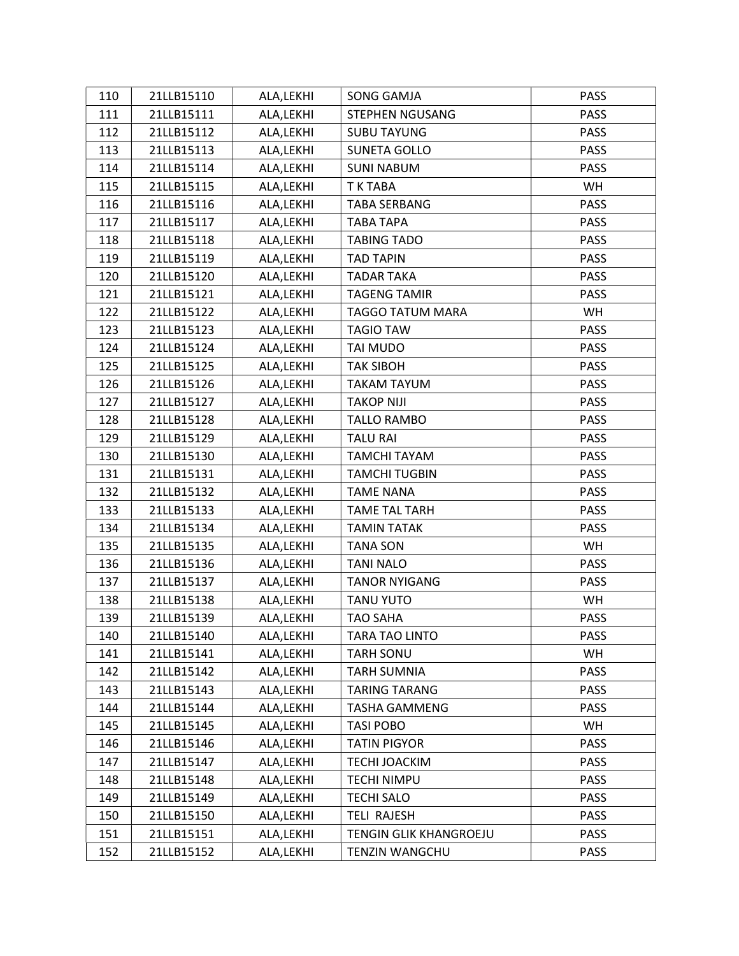| 110 | 21LLB15110 | ALA, LEKHI | SONG GAMJA              | <b>PASS</b> |
|-----|------------|------------|-------------------------|-------------|
| 111 | 21LLB15111 | ALA, LEKHI | STEPHEN NGUSANG         | <b>PASS</b> |
| 112 | 21LLB15112 | ALA, LEKHI | <b>SUBU TAYUNG</b>      | <b>PASS</b> |
| 113 | 21LLB15113 | ALA, LEKHI | SUNETA GOLLO            | <b>PASS</b> |
| 114 | 21LLB15114 | ALA, LEKHI | <b>SUNI NABUM</b>       | <b>PASS</b> |
| 115 | 21LLB15115 | ALA, LEKHI | T K TABA                | <b>WH</b>   |
| 116 | 21LLB15116 | ALA, LEKHI | <b>TABA SERBANG</b>     | <b>PASS</b> |
| 117 | 21LLB15117 | ALA, LEKHI | <b>TABA TAPA</b>        | <b>PASS</b> |
| 118 | 21LLB15118 | ALA, LEKHI | <b>TABING TADO</b>      | <b>PASS</b> |
| 119 | 21LLB15119 | ALA, LEKHI | <b>TAD TAPIN</b>        | PASS        |
| 120 | 21LLB15120 | ALA, LEKHI | <b>TADAR TAKA</b>       | <b>PASS</b> |
| 121 | 21LLB15121 | ALA, LEKHI | <b>TAGENG TAMIR</b>     | PASS        |
| 122 | 21LLB15122 | ALA,LEKHI  | <b>TAGGO TATUM MARA</b> | <b>WH</b>   |
| 123 | 21LLB15123 | ALA, LEKHI | <b>TAGIO TAW</b>        | <b>PASS</b> |
| 124 | 21LLB15124 | ALA, LEKHI | TAI MUDO                | <b>PASS</b> |
| 125 | 21LLB15125 | ALA, LEKHI | <b>TAK SIBOH</b>        | PASS        |
| 126 | 21LLB15126 | ALA, LEKHI | <b>TAKAM TAYUM</b>      | <b>PASS</b> |
| 127 | 21LLB15127 | ALA, LEKHI | <b>TAKOP NIJI</b>       | PASS        |
| 128 | 21LLB15128 | ALA, LEKHI | <b>TALLO RAMBO</b>      | <b>PASS</b> |
| 129 | 21LLB15129 | ALA, LEKHI | <b>TALU RAI</b>         | <b>PASS</b> |
| 130 | 21LLB15130 | ALA, LEKHI | TAMCHI TAYAM            | <b>PASS</b> |
| 131 | 21LLB15131 | ALA, LEKHI | <b>TAMCHI TUGBIN</b>    | <b>PASS</b> |
| 132 | 21LLB15132 | ALA, LEKHI | <b>TAME NANA</b>        | <b>PASS</b> |
| 133 | 21LLB15133 | ALA, LEKHI | <b>TAME TAL TARH</b>    | <b>PASS</b> |
| 134 | 21LLB15134 | ALA, LEKHI | <b>TAMIN TATAK</b>      | <b>PASS</b> |
| 135 | 21LLB15135 | ALA, LEKHI | <b>TANA SON</b>         | WH          |
| 136 | 21LLB15136 | ALA, LEKHI | <b>TANI NALO</b>        | <b>PASS</b> |
| 137 | 21LLB15137 | ALA,LEKHI  | <b>TANOR NYIGANG</b>    | <b>PASS</b> |
| 138 | 21LLB15138 | ALA, LEKHI | <b>TANU YUTO</b>        | WH          |
| 139 | 21LLB15139 | ALA, LEKHI | <b>TAO SAHA</b>         | <b>PASS</b> |
| 140 | 21LLB15140 | ALA, LEKHI | TARA TAO LINTO          | <b>PASS</b> |
| 141 | 21LLB15141 | ALA, LEKHI | <b>TARH SONU</b>        | WH          |
| 142 | 21LLB15142 | ALA, LEKHI | <b>TARH SUMNIA</b>      | <b>PASS</b> |
| 143 | 21LLB15143 | ALA, LEKHI | <b>TARING TARANG</b>    | <b>PASS</b> |
| 144 | 21LLB15144 | ALA, LEKHI | <b>TASHA GAMMENG</b>    | <b>PASS</b> |
| 145 | 21LLB15145 | ALA, LEKHI | TASI POBO               | WH          |
| 146 | 21LLB15146 | ALA, LEKHI | <b>TATIN PIGYOR</b>     | <b>PASS</b> |
| 147 | 21LLB15147 | ALA, LEKHI | TECHI JOACKIM           | <b>PASS</b> |
| 148 | 21LLB15148 | ALA, LEKHI | <b>TECHI NIMPU</b>      | <b>PASS</b> |
| 149 | 21LLB15149 | ALA, LEKHI | <b>TECHI SALO</b>       | <b>PASS</b> |
| 150 | 21LLB15150 | ALA, LEKHI | <b>TELI RAJESH</b>      | <b>PASS</b> |
| 151 | 21LLB15151 | ALA, LEKHI | TENGIN GLIK KHANGROEJU  | <b>PASS</b> |
| 152 | 21LLB15152 | ALA, LEKHI | <b>TENZIN WANGCHU</b>   | PASS        |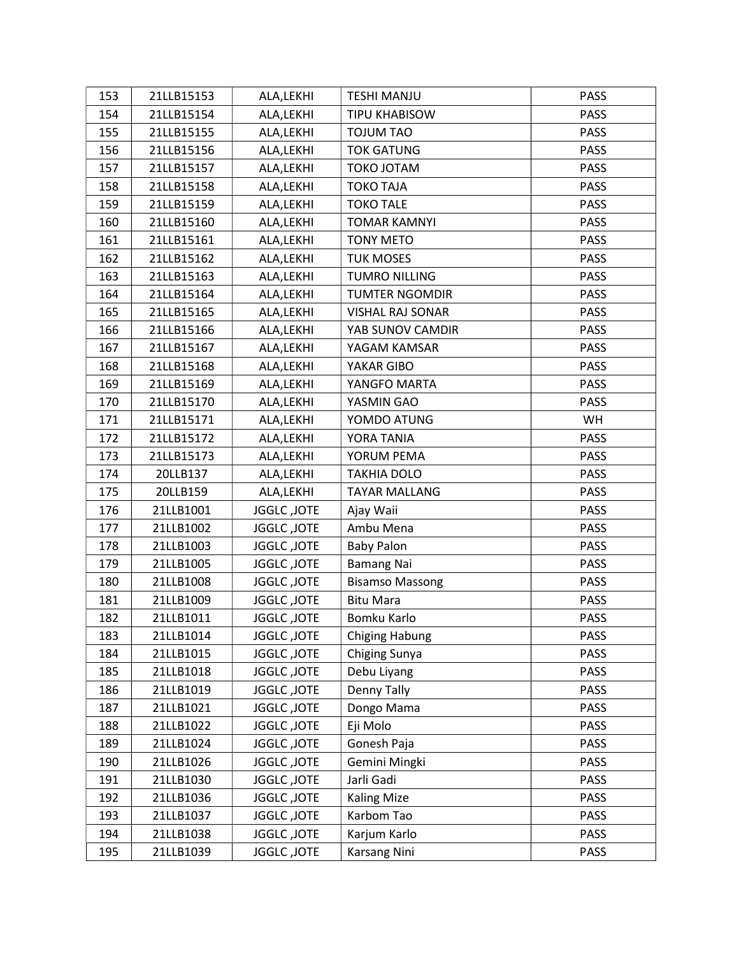| 153 | 21LLB15153 | ALA, LEKHI         | <b>TESHI MANJU</b>      | <b>PASS</b> |
|-----|------------|--------------------|-------------------------|-------------|
| 154 | 21LLB15154 | ALA, LEKHI         | TIPU KHABISOW           | <b>PASS</b> |
| 155 | 21LLB15155 | ALA, LEKHI         | <b>TOJUM TAO</b>        | <b>PASS</b> |
| 156 | 21LLB15156 | ALA, LEKHI         | <b>TOK GATUNG</b>       | <b>PASS</b> |
| 157 | 21LLB15157 | ALA, LEKHI         | TOKO JOTAM              | <b>PASS</b> |
| 158 | 21LLB15158 | ALA, LEKHI         | <b>TOKO TAJA</b>        | <b>PASS</b> |
| 159 | 21LLB15159 | ALA, LEKHI         | <b>TOKO TALE</b>        | <b>PASS</b> |
| 160 | 21LLB15160 | ALA, LEKHI         | <b>TOMAR KAMNYI</b>     | PASS        |
| 161 | 21LLB15161 | ALA, LEKHI         | <b>TONY METO</b>        | <b>PASS</b> |
| 162 | 21LLB15162 | ALA, LEKHI         | <b>TUK MOSES</b>        | PASS        |
| 163 | 21LLB15163 | ALA, LEKHI         | <b>TUMRO NILLING</b>    | <b>PASS</b> |
| 164 | 21LLB15164 | ALA, LEKHI         | <b>TUMTER NGOMDIR</b>   | <b>PASS</b> |
| 165 | 21LLB15165 | ALA, LEKHI         | <b>VISHAL RAJ SONAR</b> | <b>PASS</b> |
| 166 | 21LLB15166 | ALA, LEKHI         | YAB SUNOV CAMDIR        | PASS        |
| 167 | 21LLB15167 | ALA, LEKHI         | YAGAM KAMSAR            | <b>PASS</b> |
| 168 | 21LLB15168 | ALA, LEKHI         | YAKAR GIBO              | <b>PASS</b> |
| 169 | 21LLB15169 | ALA, LEKHI         | YANGFO MARTA            | <b>PASS</b> |
| 170 | 21LLB15170 | ALA, LEKHI         | YASMIN GAO              | <b>PASS</b> |
| 171 | 21LLB15171 | ALA, LEKHI         | YOMDO ATUNG             | WH          |
| 172 | 21LLB15172 | ALA, LEKHI         | YORA TANIA              | PASS        |
| 173 | 21LLB15173 | ALA, LEKHI         | YORUM PEMA              | <b>PASS</b> |
| 174 | 20LLB137   | ALA, LEKHI         | <b>TAKHIA DOLO</b>      | <b>PASS</b> |
| 175 | 20LLB159   | ALA, LEKHI         | <b>TAYAR MALLANG</b>    | <b>PASS</b> |
| 176 | 21LLB1001  | <b>JGGLC, JOTE</b> | Ajay Waii               | <b>PASS</b> |
| 177 | 21LLB1002  | <b>JGGLC, JOTE</b> | Ambu Mena               | <b>PASS</b> |
| 178 | 21LLB1003  | <b>JGGLC, JOTE</b> | <b>Baby Palon</b>       | <b>PASS</b> |
| 179 | 21LLB1005  | JGGLC, JOTE        | <b>Bamang Nai</b>       | <b>PASS</b> |
| 180 | 21LLB1008  | JGGLC, JOTE        | <b>Bisamso Massong</b>  | <b>PASS</b> |
| 181 | 21LLB1009  | JGGLC, JOTE        | <b>Bitu Mara</b>        | <b>PASS</b> |
| 182 | 21LLB1011  | JGGLC, JOTE        | Bomku Karlo             | <b>PASS</b> |
| 183 | 21LLB1014  | <b>JGGLC, JOTE</b> | Chiging Habung          | <b>PASS</b> |
| 184 | 21LLB1015  | <b>JGGLC, JOTE</b> | Chiging Sunya           | <b>PASS</b> |
| 185 | 21LLB1018  | JGGLC, JOTE        | Debu Liyang             | PASS        |
| 186 | 21LLB1019  | JGGLC, JOTE        | Denny Tally             | <b>PASS</b> |
| 187 | 21LLB1021  | JGGLC, JOTE        | Dongo Mama              | PASS        |
| 188 | 21LLB1022  | JGGLC, JOTE        | Eji Molo                | <b>PASS</b> |
| 189 | 21LLB1024  | JGGLC, JOTE        | Gonesh Paja             | <b>PASS</b> |
| 190 | 21LLB1026  | <b>JGGLC, JOTE</b> | Gemini Mingki           | <b>PASS</b> |
| 191 | 21LLB1030  | <b>JGGLC, JOTE</b> | Jarli Gadi              | <b>PASS</b> |
| 192 | 21LLB1036  | <b>JGGLC, JOTE</b> | <b>Kaling Mize</b>      | <b>PASS</b> |
| 193 | 21LLB1037  | JGGLC, JOTE        | Karbom Tao              | <b>PASS</b> |
| 194 | 21LLB1038  | <b>JGGLC, JOTE</b> | Karjum Karlo            | <b>PASS</b> |
| 195 | 21LLB1039  | JGGLC, JOTE        | Karsang Nini            | PASS        |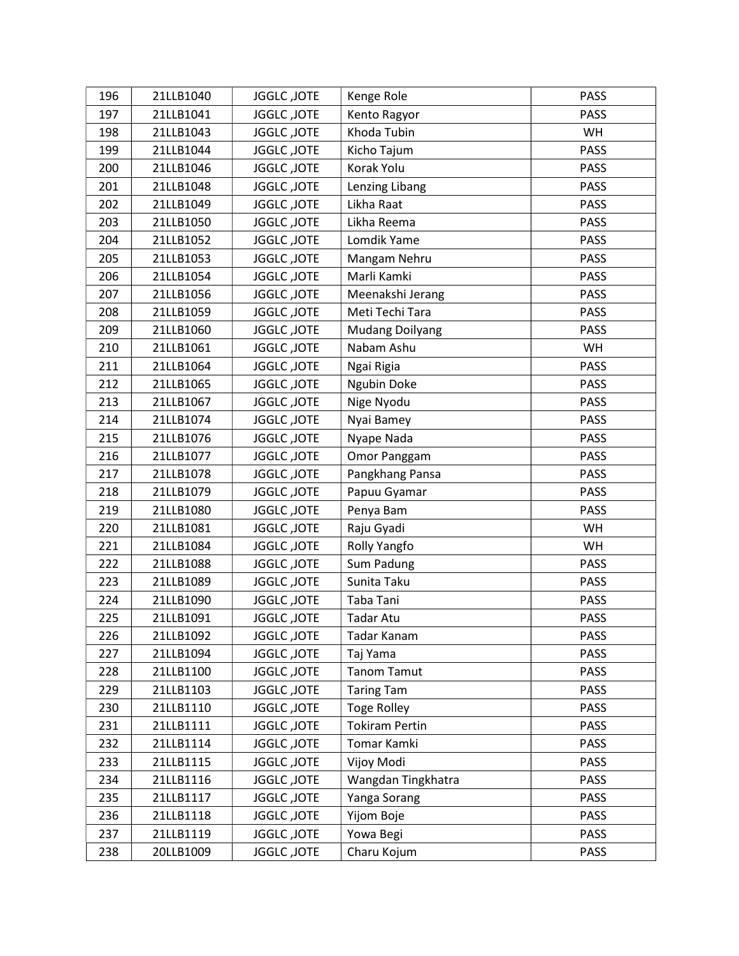| 196 | 21LLB1040 | JGGLC, JOTE        | Kenge Role             | <b>PASS</b> |
|-----|-----------|--------------------|------------------------|-------------|
| 197 | 21LLB1041 | JGGLC, JOTE        | Kento Ragyor           | <b>PASS</b> |
| 198 | 21LLB1043 | JGGLC, JOTE        | Khoda Tubin            | WH          |
| 199 | 21LLB1044 | JGGLC, JOTE        | Kicho Tajum            | <b>PASS</b> |
| 200 | 21LLB1046 | JGGLC, JOTE        | Korak Yolu             | <b>PASS</b> |
| 201 | 21LLB1048 | JGGLC, JOTE        | Lenzing Libang         | <b>PASS</b> |
| 202 | 21LLB1049 | JGGLC, JOTE        | Likha Raat             | <b>PASS</b> |
| 203 | 21LLB1050 | JGGLC, JOTE        | Likha Reema            | <b>PASS</b> |
| 204 | 21LLB1052 | <b>JGGLC, JOTE</b> | Lomdik Yame            | <b>PASS</b> |
| 205 | 21LLB1053 | JGGLC, JOTE        | Mangam Nehru           | <b>PASS</b> |
| 206 | 21LLB1054 | <b>JGGLC, JOTE</b> | Marli Kamki            | <b>PASS</b> |
| 207 | 21LLB1056 | JGGLC, JOTE        | Meenakshi Jerang       | <b>PASS</b> |
| 208 | 21LLB1059 | JGGLC, JOTE        | Meti Techi Tara        | <b>PASS</b> |
| 209 | 21LLB1060 | JGGLC, JOTE        | <b>Mudang Doilyang</b> | <b>PASS</b> |
| 210 | 21LLB1061 | <b>JGGLC, JOTE</b> | Nabam Ashu             | WH          |
| 211 | 21LLB1064 | <b>JGGLC, JOTE</b> | Ngai Rigia             | <b>PASS</b> |
| 212 | 21LLB1065 | <b>JGGLC, JOTE</b> | Ngubin Doke            | <b>PASS</b> |
| 213 | 21LLB1067 | JGGLC, JOTE        | Nige Nyodu             | <b>PASS</b> |
| 214 | 21LLB1074 | JGGLC, JOTE        | Nyai Bamey             | <b>PASS</b> |
| 215 | 21LLB1076 | JGGLC, JOTE        | Nyape Nada             | PASS        |
| 216 | 21LLB1077 | <b>JGGLC, JOTE</b> | Omor Panggam           | <b>PASS</b> |
| 217 | 21LLB1078 | JGGLC, JOTE        | Pangkhang Pansa        | <b>PASS</b> |
| 218 | 21LLB1079 | JGGLC, JOTE        | Papuu Gyamar           | PASS        |
| 219 | 21LLB1080 | JGGLC, JOTE        | Penya Bam              | <b>PASS</b> |
| 220 | 21LLB1081 | JGGLC, JOTE        | Raju Gyadi             | WH          |
| 221 | 21LLB1084 | JGGLC, JOTE        | Rolly Yangfo           | WH          |
| 222 | 21LLB1088 | JGGLC, JOTE        | Sum Padung             | <b>PASS</b> |
| 223 | 21LLB1089 | <b>JGGLC, JOTE</b> | Sunita Taku            | <b>PASS</b> |
| 224 | 21LLB1090 | JGGLC, JOTE        | Taba Tani              | <b>PASS</b> |
| 225 | 21LLB1091 | <b>JGGLC, JOTE</b> | Tadar Atu              | <b>PASS</b> |
| 226 | 21LLB1092 | <b>JGGLC, JOTE</b> | Tadar Kanam            | <b>PASS</b> |
| 227 | 21LLB1094 | JGGLC, JOTE        | Taj Yama               | <b>PASS</b> |
| 228 | 21LLB1100 | JGGLC, JOTE        | <b>Tanom Tamut</b>     | <b>PASS</b> |
| 229 | 21LLB1103 | JGGLC, JOTE        | <b>Taring Tam</b>      | <b>PASS</b> |
| 230 | 21LLB1110 | JGGLC, JOTE        | <b>Toge Rolley</b>     | <b>PASS</b> |
| 231 | 21LLB1111 | JGGLC, JOTE        | <b>Tokiram Pertin</b>  | <b>PASS</b> |
| 232 | 21LLB1114 | JGGLC, JOTE        | Tomar Kamki            | <b>PASS</b> |
| 233 | 21LLB1115 | JGGLC, JOTE        | Vijoy Modi             | PASS        |
| 234 | 21LLB1116 | JGGLC, JOTE        | Wangdan Tingkhatra     | <b>PASS</b> |
| 235 | 21LLB1117 | <b>JGGLC, JOTE</b> | Yanga Sorang           | <b>PASS</b> |
| 236 | 21LLB1118 | JGGLC, JOTE        | Yijom Boje             | <b>PASS</b> |
| 237 | 21LLB1119 | JGGLC, JOTE        | Yowa Begi              | <b>PASS</b> |
| 238 | 20LLB1009 | JGGLC, JOTE        | Charu Kojum            | <b>PASS</b> |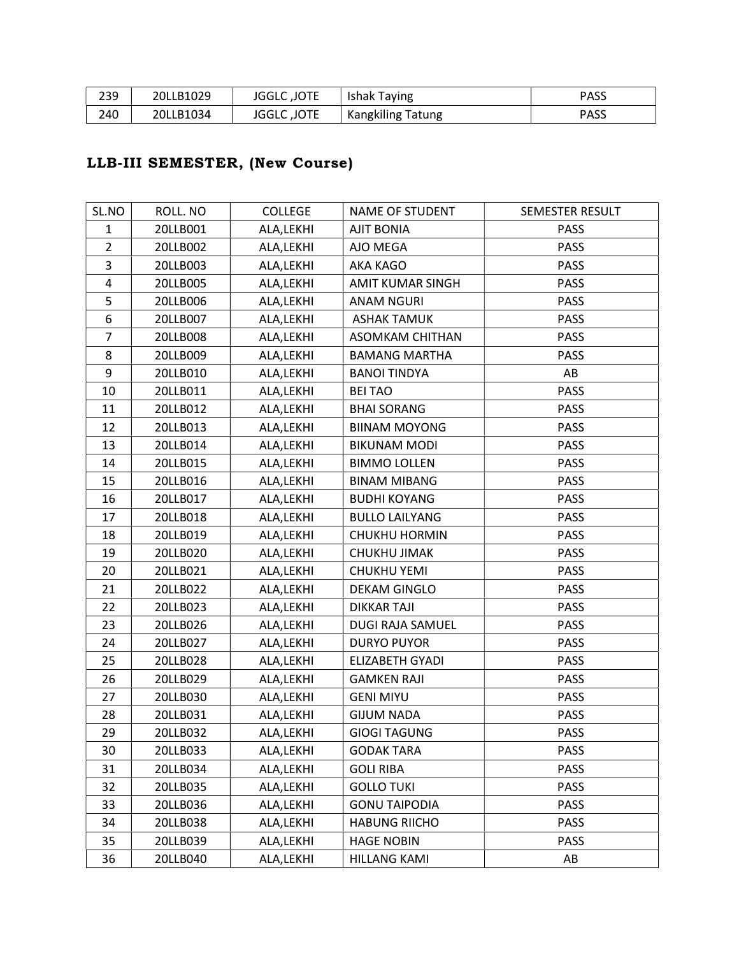| 239 | 20LLB1029 | JGGLC, JOTE        | Ishak Taying             | <b>PASS</b> |
|-----|-----------|--------------------|--------------------------|-------------|
| 240 | 20LLB1034 | <b>JGGLC, JOTE</b> | <b>Kangkiling Tatung</b> | <b>PASS</b> |

# LLB-III SEMESTER, (New Course)

| SL.NO                   | ROLL. NO | <b>COLLEGE</b> | NAME OF STUDENT        | SEMESTER RESULT |
|-------------------------|----------|----------------|------------------------|-----------------|
| $\mathbf{1}$            | 20LLB001 | ALA, LEKHI     | <b>AJIT BONIA</b>      | <b>PASS</b>     |
| $\overline{2}$          | 20LLB002 | ALA, LEKHI     | AJO MEGA               | <b>PASS</b>     |
| 3                       | 20LLB003 | ALA, LEKHI     | AKA KAGO               | <b>PASS</b>     |
| $\overline{\mathbf{4}}$ | 20LLB005 | ALA, LEKHI     | AMIT KUMAR SINGH       | PASS            |
| 5                       | 20LLB006 | ALA, LEKHI     | <b>ANAM NGURI</b>      | <b>PASS</b>     |
| 6                       | 20LLB007 | ALA, LEKHI     | <b>ASHAK TAMUK</b>     | <b>PASS</b>     |
| $\overline{7}$          | 20LLB008 | ALA, LEKHI     | <b>ASOMKAM CHITHAN</b> | <b>PASS</b>     |
| 8                       | 20LLB009 | ALA, LEKHI     | <b>BAMANG MARTHA</b>   | <b>PASS</b>     |
| 9                       | 20LLB010 | ALA, LEKHI     | <b>BANOI TINDYA</b>    | AB              |
| 10                      | 20LLB011 | ALA, LEKHI     | <b>BEITAO</b>          | <b>PASS</b>     |
| 11                      | 20LLB012 | ALA, LEKHI     | <b>BHAI SORANG</b>     | <b>PASS</b>     |
| 12                      | 20LLB013 | ALA, LEKHI     | <b>BIINAM MOYONG</b>   | <b>PASS</b>     |
| 13                      | 20LLB014 | ALA, LEKHI     | <b>BIKUNAM MODI</b>    | <b>PASS</b>     |
| 14                      | 20LLB015 | ALA, LEKHI     | <b>BIMMO LOLLEN</b>    | <b>PASS</b>     |
| 15                      | 20LLB016 | ALA, LEKHI     | <b>BINAM MIBANG</b>    | <b>PASS</b>     |
| 16                      | 20LLB017 | ALA, LEKHI     | <b>BUDHI KOYANG</b>    | <b>PASS</b>     |
| 17                      | 20LLB018 | ALA, LEKHI     | <b>BULLO LAILYANG</b>  | <b>PASS</b>     |
| 18                      | 20LLB019 | ALA, LEKHI     | <b>CHUKHU HORMIN</b>   | <b>PASS</b>     |
| 19                      | 20LLB020 | ALA, LEKHI     | CHUKHU JIMAK           | <b>PASS</b>     |
| 20                      | 20LLB021 | ALA, LEKHI     | <b>CHUKHU YEMI</b>     | <b>PASS</b>     |
| 21                      | 20LLB022 | ALA, LEKHI     | <b>DEKAM GINGLO</b>    | PASS            |
| 22                      | 20LLB023 | ALA, LEKHI     | <b>DIKKAR TAJI</b>     | <b>PASS</b>     |
| 23                      | 20LLB026 | ALA, LEKHI     | DUGI RAJA SAMUEL       | PASS            |
| 24                      | 20LLB027 | ALA, LEKHI     | <b>DURYO PUYOR</b>     | <b>PASS</b>     |
| 25                      | 20LLB028 | ALA, LEKHI     | <b>ELIZABETH GYADI</b> | <b>PASS</b>     |
| 26                      | 20LLB029 | ALA, LEKHI     | <b>GAMKEN RAJI</b>     | <b>PASS</b>     |
| 27                      | 20LLB030 | ALA, LEKHI     | <b>GENI MIYU</b>       | <b>PASS</b>     |
| 28                      | 20LLB031 | ALA, LEKHI     | <b>GIJUM NADA</b>      | <b>PASS</b>     |
| 29                      | 20LLB032 | ALA, LEKHI     | <b>GIOGI TAGUNG</b>    | <b>PASS</b>     |
| 30                      | 20LLB033 | ALA, LEKHI     | <b>GODAK TARA</b>      | <b>PASS</b>     |
| 31                      | 20LLB034 | ALA, LEKHI     | <b>GOLI RIBA</b>       | <b>PASS</b>     |
| 32                      | 20LLB035 | ALA, LEKHI     | <b>GOLLO TUKI</b>      | <b>PASS</b>     |
| 33                      | 20LLB036 | ALA, LEKHI     | <b>GONU TAIPODIA</b>   | <b>PASS</b>     |
| 34                      | 20LLB038 | ALA, LEKHI     | <b>HABUNG RIICHO</b>   | <b>PASS</b>     |
| 35                      | 20LLB039 | ALA,LEKHI      | <b>HAGE NOBIN</b>      | <b>PASS</b>     |
| 36                      | 20LLB040 | ALA, LEKHI     | <b>HILLANG KAMI</b>    | AB              |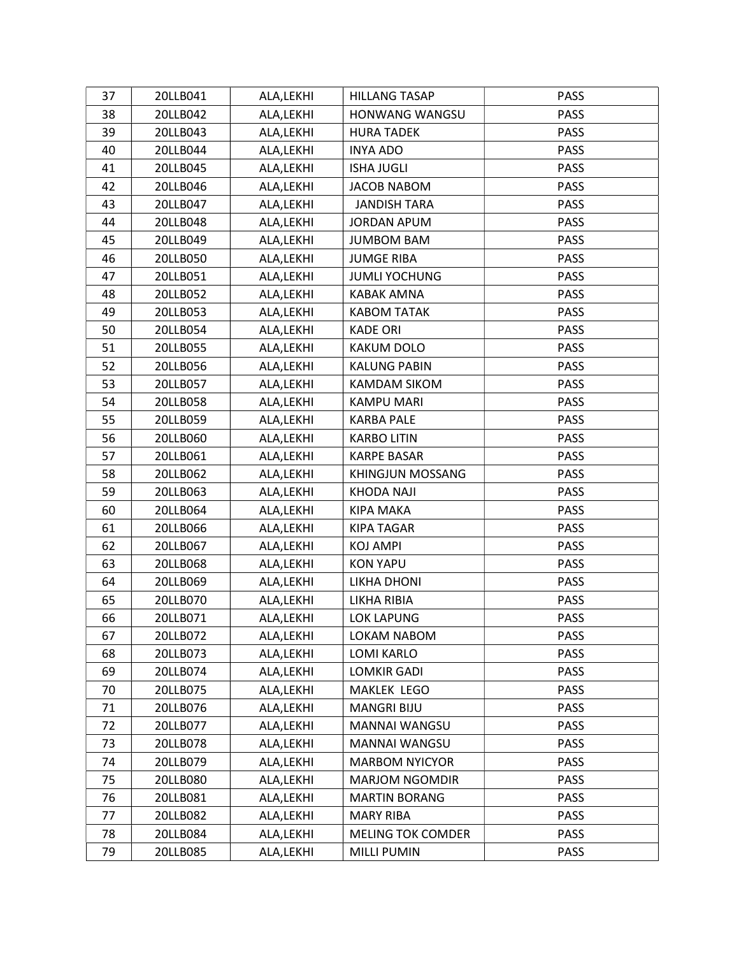| 37 | 20LLB041 | ALA, LEKHI | <b>HILLANG TASAP</b>     | <b>PASS</b> |
|----|----------|------------|--------------------------|-------------|
| 38 | 20LLB042 | ALA, LEKHI | HONWANG WANGSU           | PASS        |
| 39 | 20LLB043 | ALA, LEKHI | <b>HURA TADEK</b>        | <b>PASS</b> |
| 40 | 20LLB044 | ALA, LEKHI | <b>INYA ADO</b>          | <b>PASS</b> |
| 41 | 20LLB045 | ALA, LEKHI | <b>ISHA JUGLI</b>        | <b>PASS</b> |
| 42 | 20LLB046 | ALA, LEKHI | <b>JACOB NABOM</b>       | PASS        |
| 43 | 20LLB047 | ALA, LEKHI | <b>JANDISH TARA</b>      | <b>PASS</b> |
| 44 | 20LLB048 | ALA, LEKHI | <b>JORDAN APUM</b>       | <b>PASS</b> |
| 45 | 20LLB049 | ALA, LEKHI | <b>JUMBOM BAM</b>        | <b>PASS</b> |
| 46 | 20LLB050 | ALA, LEKHI | <b>JUMGE RIBA</b>        | <b>PASS</b> |
| 47 | 20LLB051 | ALA, LEKHI | <b>JUMLI YOCHUNG</b>     | <b>PASS</b> |
| 48 | 20LLB052 | ALA, LEKHI | KABAK AMNA               | <b>PASS</b> |
| 49 | 20LLB053 | ALA, LEKHI | <b>KABOM TATAK</b>       | <b>PASS</b> |
| 50 | 20LLB054 | ALA, LEKHI | <b>KADE ORI</b>          | <b>PASS</b> |
| 51 | 20LLB055 | ALA, LEKHI | KAKUM DOLO               | <b>PASS</b> |
| 52 | 20LLB056 | ALA, LEKHI | <b>KALUNG PABIN</b>      | <b>PASS</b> |
| 53 | 20LLB057 | ALA, LEKHI | <b>KAMDAM SIKOM</b>      | <b>PASS</b> |
| 54 | 20LLB058 | ALA, LEKHI | <b>KAMPU MARI</b>        | <b>PASS</b> |
| 55 | 20LLB059 | ALA, LEKHI | <b>KARBA PALE</b>        | <b>PASS</b> |
| 56 | 20LLB060 | ALA, LEKHI | <b>KARBO LITIN</b>       | <b>PASS</b> |
| 57 | 20LLB061 | ALA, LEKHI | <b>KARPE BASAR</b>       | <b>PASS</b> |
| 58 | 20LLB062 | ALA, LEKHI | <b>KHINGJUN MOSSANG</b>  | <b>PASS</b> |
| 59 | 20LLB063 | ALA, LEKHI | <b>KHODA NAJI</b>        | <b>PASS</b> |
| 60 | 20LLB064 | ALA, LEKHI | KIPA MAKA                | <b>PASS</b> |
| 61 | 20LLB066 | ALA, LEKHI | KIPA TAGAR               | <b>PASS</b> |
| 62 | 20LLB067 | ALA, LEKHI | KOJ AMPI                 | <b>PASS</b> |
| 63 | 20LLB068 | ALA, LEKHI | <b>KON YAPU</b>          | <b>PASS</b> |
| 64 | 20LLB069 | ALA, LEKHI | LIKHA DHONI              | <b>PASS</b> |
| 65 | 20LLB070 | ALA, LEKHI | LIKHA RIBIA              | <b>PASS</b> |
| 66 | 20LLB071 | ALA, LEKHI | LOK LAPUNG               | <b>PASS</b> |
| 67 | 20LLB072 | ALA, LEKHI | LOKAM NABOM              | PASS        |
| 68 | 20LLB073 | ALA, LEKHI | LOMI KARLO               | <b>PASS</b> |
| 69 | 20LLB074 | ALA, LEKHI | LOMKIR GADI              | PASS        |
| 70 | 20LLB075 | ALA, LEKHI | <b>MAKLEK LEGO</b>       | <b>PASS</b> |
| 71 | 20LLB076 | ALA, LEKHI | <b>MANGRI BIJU</b>       | <b>PASS</b> |
| 72 | 20LLB077 | ALA, LEKHI | MANNAI WANGSU            | <b>PASS</b> |
| 73 | 20LLB078 | ALA, LEKHI | MANNAI WANGSU            | <b>PASS</b> |
| 74 | 20LLB079 | ALA, LEKHI | <b>MARBOM NYICYOR</b>    | <b>PASS</b> |
| 75 | 20LLB080 | ALA, LEKHI | <b>MARJOM NGOMDIR</b>    | <b>PASS</b> |
| 76 | 20LLB081 | ALA, LEKHI | <b>MARTIN BORANG</b>     | <b>PASS</b> |
| 77 | 20LLB082 | ALA, LEKHI | <b>MARY RIBA</b>         | <b>PASS</b> |
| 78 | 20LLB084 | ALA, LEKHI | <b>MELING TOK COMDER</b> | <b>PASS</b> |
| 79 | 20LLB085 | ALA, LEKHI | <b>MILLI PUMIN</b>       | <b>PASS</b> |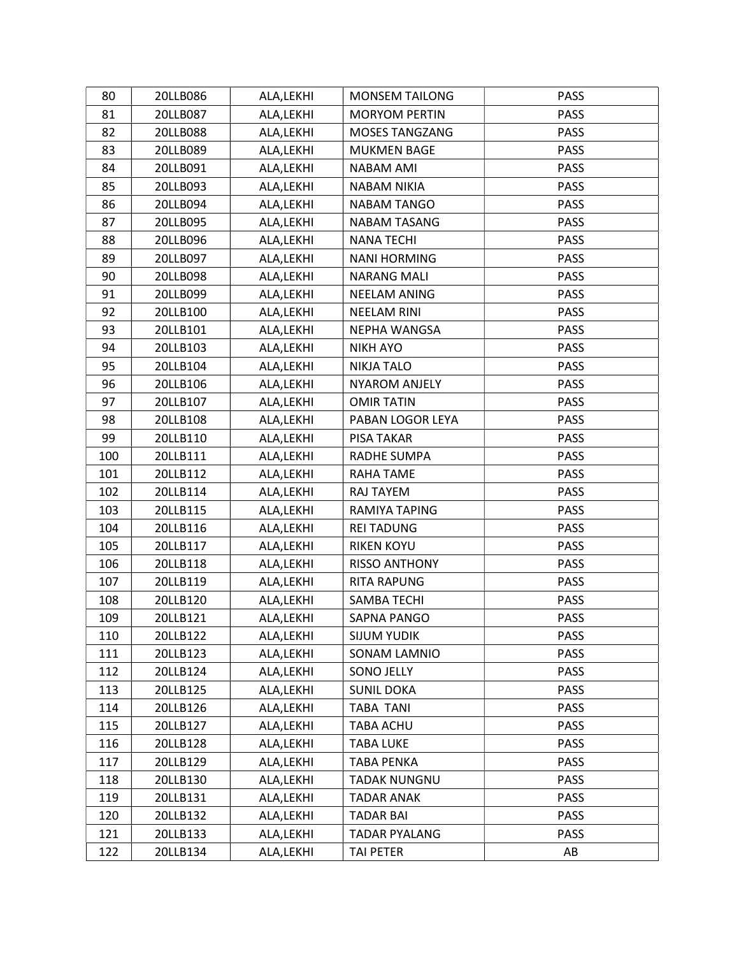| 80  | 20LLB086 | ALA, LEKHI | <b>MONSEM TAILONG</b> | <b>PASS</b> |
|-----|----------|------------|-----------------------|-------------|
| 81  | 20LLB087 | ALA, LEKHI | <b>MORYOM PERTIN</b>  | PASS        |
| 82  | 20LLB088 | ALA, LEKHI | <b>MOSES TANGZANG</b> | <b>PASS</b> |
| 83  | 20LLB089 | ALA, LEKHI | MUKMEN BAGE           | PASS        |
| 84  | 20LLB091 | ALA, LEKHI | <b>NABAM AMI</b>      | <b>PASS</b> |
| 85  | 20LLB093 | ALA, LEKHI | NABAM NIKIA           | <b>PASS</b> |
| 86  | 20LLB094 | ALA, LEKHI | <b>NABAM TANGO</b>    | <b>PASS</b> |
| 87  | 20LLB095 | ALA, LEKHI | NABAM TASANG          | <b>PASS</b> |
| 88  | 20LLB096 | ALA, LEKHI | <b>NANA TECHI</b>     | <b>PASS</b> |
| 89  | 20LLB097 | ALA, LEKHI | <b>NANI HORMING</b>   | <b>PASS</b> |
| 90  | 20LLB098 | ALA, LEKHI | <b>NARANG MALI</b>    | <b>PASS</b> |
| 91  | 20LLB099 | ALA, LEKHI | <b>NEELAM ANING</b>   | PASS        |
| 92  | 20LLB100 | ALA, LEKHI | <b>NEELAM RINI</b>    | <b>PASS</b> |
| 93  | 20LLB101 | ALA, LEKHI | NEPHA WANGSA          | PASS        |
| 94  | 20LLB103 | ALA, LEKHI | <b>NIKH AYO</b>       | <b>PASS</b> |
| 95  | 20LLB104 | ALA, LEKHI | <b>NIKJA TALO</b>     | <b>PASS</b> |
| 96  | 20LLB106 | ALA, LEKHI | <b>NYAROM ANJELY</b>  | <b>PASS</b> |
| 97  | 20LLB107 | ALA, LEKHI | <b>OMIR TATIN</b>     | <b>PASS</b> |
| 98  | 20LLB108 | ALA, LEKHI | PABAN LOGOR LEYA      | <b>PASS</b> |
| 99  | 20LLB110 | ALA, LEKHI | PISA TAKAR            | <b>PASS</b> |
| 100 | 20LLB111 | ALA, LEKHI | RADHE SUMPA           | <b>PASS</b> |
| 101 | 20LLB112 | ALA, LEKHI | RAHA TAME             | <b>PASS</b> |
| 102 | 20LLB114 | ALA, LEKHI | RAJ TAYEM             | <b>PASS</b> |
| 103 | 20LLB115 | ALA, LEKHI | RAMIYA TAPING         | <b>PASS</b> |
| 104 | 20LLB116 | ALA, LEKHI | <b>REI TADUNG</b>     | <b>PASS</b> |
| 105 | 20LLB117 | ALA, LEKHI | <b>RIKEN KOYU</b>     | <b>PASS</b> |
| 106 | 20LLB118 | ALA, LEKHI | <b>RISSO ANTHONY</b>  | <b>PASS</b> |
| 107 | 20LLB119 | ALA, LEKHI | RITA RAPUNG           | <b>PASS</b> |
| 108 | 20LLB120 | ALA, LEKHI | <b>SAMBA TECHI</b>    | <b>PASS</b> |
| 109 | 20LLB121 | ALA, LEKHI | SAPNA PANGO           | <b>PASS</b> |
| 110 | 20LLB122 | ALA, LEKHI | <b>SIJUM YUDIK</b>    | <b>PASS</b> |
| 111 | 20LLB123 | ALA, LEKHI | SONAM LAMNIO          | <b>PASS</b> |
| 112 | 20LLB124 | ALA, LEKHI | SONO JELLY            | <b>PASS</b> |
| 113 | 20LLB125 | ALA, LEKHI | <b>SUNIL DOKA</b>     | <b>PASS</b> |
| 114 | 20LLB126 | ALA, LEKHI | <b>TABA TANI</b>      | <b>PASS</b> |
| 115 | 20LLB127 | ALA, LEKHI | TABA ACHU             | <b>PASS</b> |
| 116 | 20LLB128 | ALA, LEKHI | <b>TABA LUKE</b>      | PASS        |
| 117 | 20LLB129 | ALA, LEKHI | <b>TABA PENKA</b>     | <b>PASS</b> |
| 118 | 20LLB130 | ALA, LEKHI | <b>TADAK NUNGNU</b>   | <b>PASS</b> |
| 119 | 20LLB131 | ALA, LEKHI | <b>TADAR ANAK</b>     | <b>PASS</b> |
| 120 | 20LLB132 | ALA, LEKHI | <b>TADAR BAI</b>      | <b>PASS</b> |
| 121 | 20LLB133 | ALA, LEKHI | <b>TADAR PYALANG</b>  | <b>PASS</b> |
| 122 | 20LLB134 | ALA, LEKHI | TAI PETER             | AB          |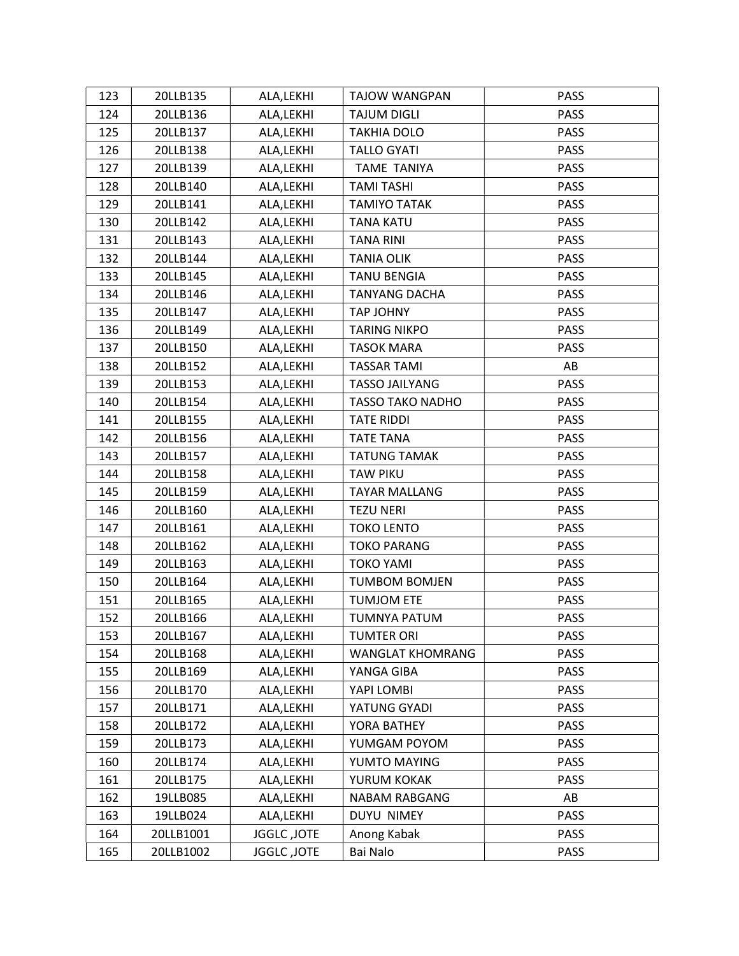| 123 | 20LLB135  | ALA, LEKHI  | TAJOW WANGPAN           | <b>PASS</b> |
|-----|-----------|-------------|-------------------------|-------------|
| 124 | 20LLB136  | ALA, LEKHI  | <b>TAJUM DIGLI</b>      | <b>PASS</b> |
| 125 | 20LLB137  | ALA, LEKHI  | <b>TAKHIA DOLO</b>      | <b>PASS</b> |
| 126 | 20LLB138  | ALA, LEKHI  | <b>TALLO GYATI</b>      | <b>PASS</b> |
| 127 | 20LLB139  | ALA, LEKHI  | <b>TAME TANIYA</b>      | <b>PASS</b> |
| 128 | 20LLB140  | ALA, LEKHI  | <b>TAMI TASHI</b>       | <b>PASS</b> |
| 129 | 20LLB141  | ALA, LEKHI  | <b>TAMIYO TATAK</b>     | <b>PASS</b> |
| 130 | 20LLB142  | ALA, LEKHI  | <b>TANA KATU</b>        | <b>PASS</b> |
| 131 | 20LLB143  | ALA,LEKHI   | TANA RINI               | <b>PASS</b> |
| 132 | 20LLB144  | ALA, LEKHI  | <b>TANIA OLIK</b>       | <b>PASS</b> |
| 133 | 20LLB145  | ALA, LEKHI  | <b>TANU BENGIA</b>      | <b>PASS</b> |
| 134 | 20LLB146  | ALA, LEKHI  | <b>TANYANG DACHA</b>    | <b>PASS</b> |
| 135 | 20LLB147  | ALA,LEKHI   | TAP JOHNY               | <b>PASS</b> |
| 136 | 20LLB149  | ALA, LEKHI  | <b>TARING NIKPO</b>     | <b>PASS</b> |
| 137 | 20LLB150  | ALA, LEKHI  | <b>TASOK MARA</b>       | <b>PASS</b> |
| 138 | 20LLB152  | ALA, LEKHI  | <b>TASSAR TAMI</b>      | AB          |
| 139 | 20LLB153  | ALA,LEKHI   | <b>TASSO JAILYANG</b>   | PASS        |
| 140 | 20LLB154  | ALA, LEKHI  | <b>TASSO TAKO NADHO</b> | <b>PASS</b> |
| 141 | 20LLB155  | ALA, LEKHI  | <b>TATE RIDDI</b>       | <b>PASS</b> |
| 142 | 20LLB156  | ALA, LEKHI  | <b>TATE TANA</b>        | <b>PASS</b> |
| 143 | 20LLB157  | ALA, LEKHI  | <b>TATUNG TAMAK</b>     | <b>PASS</b> |
| 144 | 20LLB158  | ALA, LEKHI  | <b>TAW PIKU</b>         | <b>PASS</b> |
| 145 | 20LLB159  | ALA, LEKHI  | <b>TAYAR MALLANG</b>    | <b>PASS</b> |
| 146 | 20LLB160  | ALA, LEKHI  | <b>TEZU NERI</b>        | <b>PASS</b> |
| 147 | 20LLB161  | ALA,LEKHI   | <b>TOKO LENTO</b>       | <b>PASS</b> |
| 148 | 20LLB162  | ALA, LEKHI  | <b>TOKO PARANG</b>      | <b>PASS</b> |
| 149 | 20LLB163  | ALA, LEKHI  | <b>TOKO YAMI</b>        | <b>PASS</b> |
| 150 | 20LLB164  | ALA,LEKHI   | <b>TUMBOM BOMJEN</b>    | <b>PASS</b> |
| 151 | 20LLB165  | ALA, LEKHI  | <b>TUMJOM ETE</b>       | <b>PASS</b> |
| 152 | 20LLB166  | ALA, LEKHI  | TUMNYA PATUM            | <b>PASS</b> |
| 153 | 20LLB167  | ALA, LEKHI  | <b>TUMTER ORI</b>       | <b>PASS</b> |
| 154 | 20LLB168  | ALA, LEKHI  | WANGLAT KHOMRANG        | <b>PASS</b> |
| 155 | 20LLB169  | ALA, LEKHI  | YANGA GIBA              | <b>PASS</b> |
| 156 | 20LLB170  | ALA, LEKHI  | YAPI LOMBI              | <b>PASS</b> |
| 157 | 20LLB171  | ALA, LEKHI  | YATUNG GYADI            | PASS        |
| 158 | 20LLB172  | ALA, LEKHI  | YORA BATHEY             | <b>PASS</b> |
| 159 | 20LLB173  | ALA, LEKHI  | YUMGAM POYOM            | <b>PASS</b> |
| 160 | 20LLB174  | ALA,LEKHI   | YUMTO MAYING            | <b>PASS</b> |
| 161 | 20LLB175  | ALA, LEKHI  | YURUM KOKAK             | <b>PASS</b> |
| 162 | 19LLB085  | ALA,LEKHI   | NABAM RABGANG           | AB          |
| 163 | 19LLB024  | ALA, LEKHI  | DUYU NIMEY              | <b>PASS</b> |
| 164 | 20LLB1001 | JGGLC, JOTE | Anong Kabak             | <b>PASS</b> |
| 165 | 20LLB1002 | JGGLC, JOTE | Bai Nalo                | <b>PASS</b> |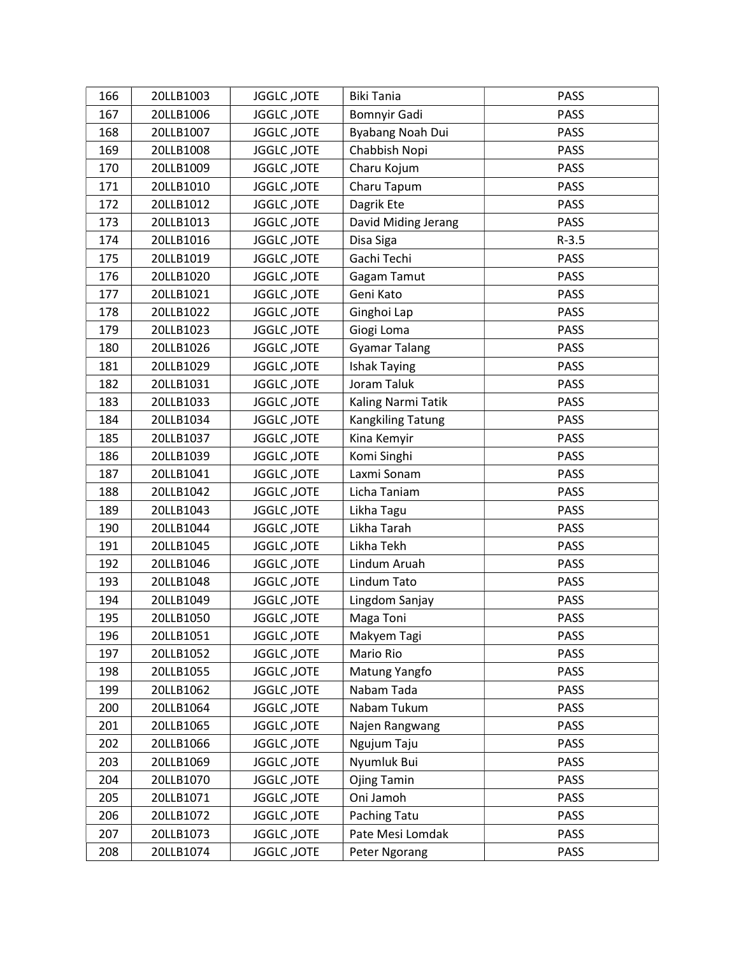| 166 | 20LLB1003 | JGGLC, JOTE        | <b>Biki Tania</b>    | <b>PASS</b> |
|-----|-----------|--------------------|----------------------|-------------|
| 167 | 20LLB1006 | JGGLC, JOTE        | <b>Bomnyir Gadi</b>  | <b>PASS</b> |
| 168 | 20LLB1007 | JGGLC, JOTE        | Byabang Noah Dui     | <b>PASS</b> |
| 169 | 20LLB1008 | JGGLC, JOTE        | Chabbish Nopi        | <b>PASS</b> |
| 170 | 20LLB1009 | JGGLC, JOTE        | Charu Kojum          | <b>PASS</b> |
| 171 | 20LLB1010 | JGGLC, JOTE        | Charu Tapum          | <b>PASS</b> |
| 172 | 20LLB1012 | JGGLC, JOTE        | Dagrik Ete           | <b>PASS</b> |
| 173 | 20LLB1013 | JGGLC, JOTE        | David Miding Jerang  | PASS        |
| 174 | 20LLB1016 | JGGLC, JOTE        | Disa Siga            | $R-3.5$     |
| 175 | 20LLB1019 | JGGLC, JOTE        | Gachi Techi          | PASS        |
| 176 | 20LLB1020 | JGGLC, JOTE        | Gagam Tamut          | PASS        |
| 177 | 20LLB1021 | JGGLC, JOTE        | Geni Kato            | PASS        |
| 178 | 20LLB1022 | JGGLC, JOTE        | Ginghoi Lap          | <b>PASS</b> |
| 179 | 20LLB1023 | JGGLC, JOTE        | Giogi Loma           | <b>PASS</b> |
| 180 | 20LLB1026 | JGGLC, JOTE        | <b>Gyamar Talang</b> | <b>PASS</b> |
| 181 | 20LLB1029 | JGGLC, JOTE        | <b>Ishak Taying</b>  | <b>PASS</b> |
| 182 | 20LLB1031 | JGGLC, JOTE        | Joram Taluk          | <b>PASS</b> |
| 183 | 20LLB1033 | JGGLC, JOTE        | Kaling Narmi Tatik   | <b>PASS</b> |
| 184 | 20LLB1034 | JGGLC, JOTE        | Kangkiling Tatung    | PASS        |
| 185 | 20LLB1037 | JGGLC, JOTE        | Kina Kemyir          | PASS        |
| 186 | 20LLB1039 | JGGLC, JOTE        | Komi Singhi          | <b>PASS</b> |
| 187 | 20LLB1041 | JGGLC, JOTE        | Laxmi Sonam          | <b>PASS</b> |
| 188 | 20LLB1042 | JGGLC, JOTE        | Licha Taniam         | <b>PASS</b> |
| 189 | 20LLB1043 | JGGLC, JOTE        | Likha Tagu           | <b>PASS</b> |
| 190 | 20LLB1044 | JGGLC, JOTE        | Likha Tarah          | <b>PASS</b> |
| 191 | 20LLB1045 | JGGLC, JOTE        | Likha Tekh           | <b>PASS</b> |
| 192 | 20LLB1046 | JGGLC, JOTE        | Lindum Aruah         | <b>PASS</b> |
| 193 | 20LLB1048 | JGGLC, JOTE        | Lindum Tato          | <b>PASS</b> |
| 194 | 20LLB1049 | JGGLC, JOTE        | Lingdom Sanjay       | <b>PASS</b> |
| 195 | 20LLB1050 | <b>JGGLC, JOTE</b> | Maga Toni            | <b>PASS</b> |
| 196 | 20LLB1051 | JGGLC, JOTE        | Makyem Tagi          | <b>PASS</b> |
| 197 | 20LLB1052 | JGGLC, JOTE        | Mario Rio            | <b>PASS</b> |
| 198 | 20LLB1055 | JGGLC, JOTE        | Matung Yangfo        | PASS        |
| 199 | 20LLB1062 | <b>JGGLC, JOTE</b> | Nabam Tada           | <b>PASS</b> |
| 200 | 20LLB1064 | JGGLC, JOTE        | Nabam Tukum          | <b>PASS</b> |
| 201 | 20LLB1065 | JGGLC, JOTE        | Najen Rangwang       | <b>PASS</b> |
| 202 | 20LLB1066 | JGGLC, JOTE        | Ngujum Taju          | <b>PASS</b> |
| 203 | 20LLB1069 | JGGLC, JOTE        | Nyumluk Bui          | <b>PASS</b> |
| 204 | 20LLB1070 | JGGLC, JOTE        | Ojing Tamin          | <b>PASS</b> |
| 205 | 20LLB1071 | JGGLC, JOTE        | Oni Jamoh            | <b>PASS</b> |
| 206 | 20LLB1072 | JGGLC, JOTE        | Paching Tatu         | <b>PASS</b> |
| 207 | 20LLB1073 | JGGLC, JOTE        | Pate Mesi Lomdak     | <b>PASS</b> |
| 208 | 20LLB1074 | JGGLC, JOTE        | Peter Ngorang        | <b>PASS</b> |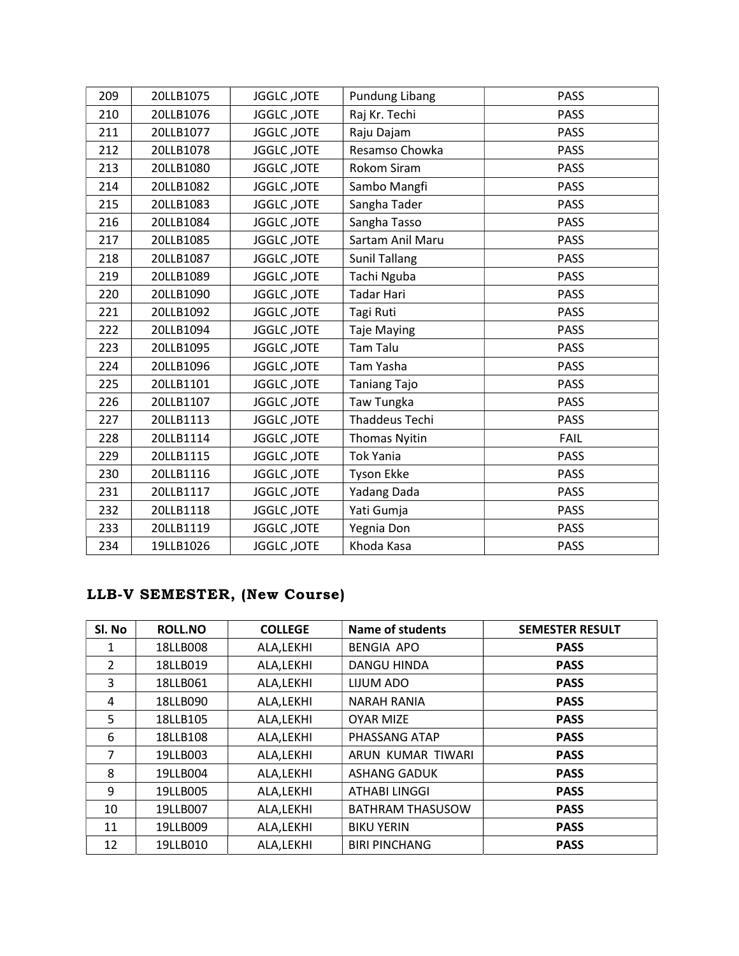| 209 | 20LLB1075 | JGGLC, JOTE | <b>Pundung Libang</b> | <b>PASS</b> |
|-----|-----------|-------------|-----------------------|-------------|
| 210 | 20LLB1076 | JGGLC, JOTE | Raj Kr. Techi         | <b>PASS</b> |
| 211 | 20LLB1077 | JGGLC, JOTE | Raju Dajam            | <b>PASS</b> |
| 212 | 20LLB1078 | JGGLC, JOTE | Resamso Chowka        | <b>PASS</b> |
| 213 | 20LLB1080 | JGGLC, JOTE | Rokom Siram           | <b>PASS</b> |
| 214 | 20LLB1082 | JGGLC, JOTE | Sambo Mangfi          | <b>PASS</b> |
| 215 | 20LLB1083 | JGGLC, JOTE | Sangha Tader          | <b>PASS</b> |
| 216 | 20LLB1084 | JGGLC, JOTE | Sangha Tasso          | <b>PASS</b> |
| 217 | 20LLB1085 | JGGLC, JOTE | Sartam Anil Maru      | <b>PASS</b> |
| 218 | 20LLB1087 | JGGLC, JOTE | <b>Sunil Tallang</b>  | <b>PASS</b> |
| 219 | 20LLB1089 | JGGLC, JOTE | Tachi Nguba           | <b>PASS</b> |
| 220 | 20LLB1090 | JGGLC, JOTE | Tadar Hari            | <b>PASS</b> |
| 221 | 20LLB1092 | JGGLC, JOTE | Tagi Ruti             | <b>PASS</b> |
| 222 | 20LLB1094 | JGGLC, JOTE | <b>Taje Maying</b>    | <b>PASS</b> |
| 223 | 20LLB1095 | JGGLC, JOTE | <b>Tam Talu</b>       | <b>PASS</b> |
| 224 | 20LLB1096 | JGGLC, JOTE | Tam Yasha             | <b>PASS</b> |
| 225 | 20LLB1101 | JGGLC, JOTE | Taniang Tajo          | <b>PASS</b> |
| 226 | 20LLB1107 | JGGLC, JOTE | Taw Tungka            | <b>PASS</b> |
| 227 | 20LLB1113 | JGGLC, JOTE | Thaddeus Techi        | <b>PASS</b> |
| 228 | 20LLB1114 | JGGLC, JOTE | <b>Thomas Nyitin</b>  | <b>FAIL</b> |
| 229 | 20LLB1115 | JGGLC, JOTE | <b>Tok Yania</b>      | <b>PASS</b> |
| 230 | 20LLB1116 | JGGLC, JOTE | Tyson Ekke            | <b>PASS</b> |
| 231 | 20LLB1117 | JGGLC, JOTE | Yadang Dada           | <b>PASS</b> |
| 232 | 20LLB1118 | JGGLC, JOTE | Yati Gumja            | <b>PASS</b> |
| 233 | 20LLB1119 | JGGLC, JOTE | Yegnia Don            | <b>PASS</b> |
| 234 | 19LLB1026 | JGGLC, JOTE | Khoda Kasa            | <b>PASS</b> |

# LLB-V SEMESTER, (New Course)

| Sl. No         | <b>ROLL.NO</b> | <b>COLLEGE</b> | Name of students        | <b>SEMESTER RESULT</b> |
|----------------|----------------|----------------|-------------------------|------------------------|
| 1              | 18LLB008       | ALA, LEKHI     | <b>BENGIA APO</b>       | <b>PASS</b>            |
| $\overline{2}$ | 18LLB019       | ALA, LEKHI     | DANGU HINDA             | <b>PASS</b>            |
| 3              | 18LLB061       | ALA, LEKHI     | LIJUM ADO               | <b>PASS</b>            |
| 4              | 18LLB090       | ALA, LEKHI     | <b>NARAH RANIA</b>      | <b>PASS</b>            |
| 5              | 18LLB105       | ALA, LEKHI     | <b>OYAR MIZE</b>        | <b>PASS</b>            |
| 6              | 18LLB108       | ALA, LEKHI     | PHASSANG ATAP           | <b>PASS</b>            |
| 7              | 19LLB003       | ALA, LEKHI     | ARUN KUMAR TIWARI       | <b>PASS</b>            |
| 8              | 19LLB004       | ALA, LEKHI     | <b>ASHANG GADUK</b>     | <b>PASS</b>            |
| 9              | 19LLB005       | ALA, LEKHI     | ATHABI LINGGI           | <b>PASS</b>            |
| 10             | 19LLB007       | ALA, LEKHI     | <b>BATHRAM THASUSOW</b> | <b>PASS</b>            |
| 11             | 19LLB009       | ALA, LEKHI     | <b>BIKU YERIN</b>       | <b>PASS</b>            |
| 12             | 19LLB010       | ALA, LEKHI     | <b>BIRI PINCHANG</b>    | <b>PASS</b>            |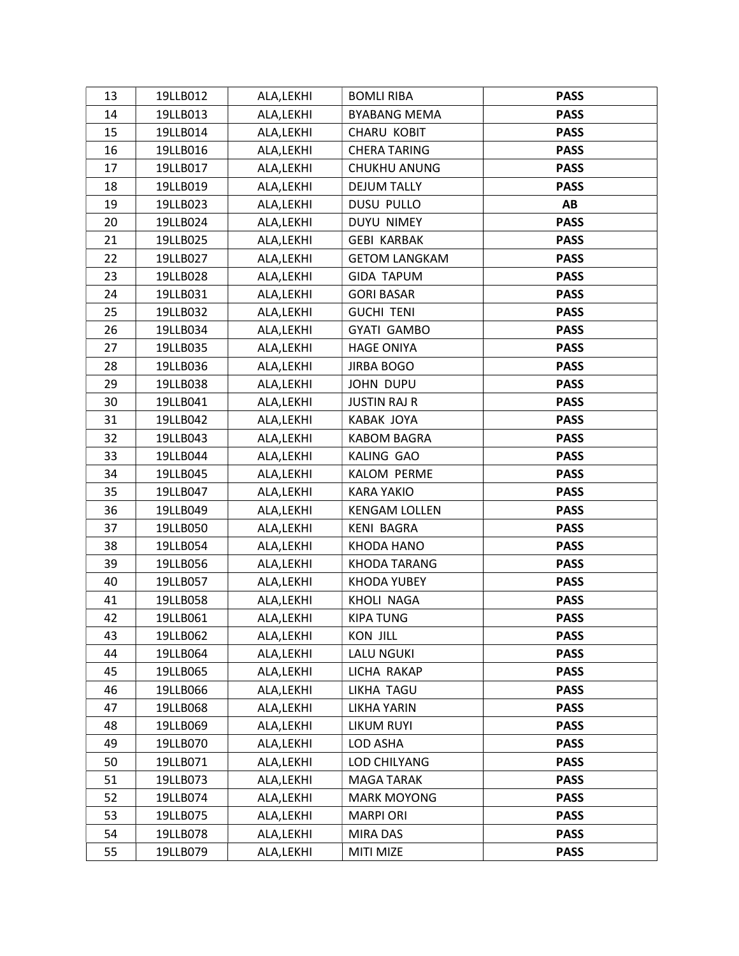| 13 | 19LLB012 | ALA, LEKHI | <b>BOMLI RIBA</b>    | <b>PASS</b> |
|----|----------|------------|----------------------|-------------|
| 14 | 19LLB013 | ALA, LEKHI | <b>BYABANG MEMA</b>  | <b>PASS</b> |
| 15 | 19LLB014 | ALA, LEKHI | <b>CHARU KOBIT</b>   | <b>PASS</b> |
| 16 | 19LLB016 | ALA, LEKHI | <b>CHERA TARING</b>  | <b>PASS</b> |
| 17 | 19LLB017 | ALA, LEKHI | CHUKHU ANUNG         | <b>PASS</b> |
| 18 | 19LLB019 | ALA, LEKHI | <b>DEJUM TALLY</b>   | <b>PASS</b> |
| 19 | 19LLB023 | ALA, LEKHI | <b>DUSU PULLO</b>    | AB          |
| 20 | 19LLB024 | ALA, LEKHI | <b>DUYU NIMEY</b>    | <b>PASS</b> |
| 21 | 19LLB025 | ALA, LEKHI | <b>GEBI KARBAK</b>   | <b>PASS</b> |
| 22 | 19LLB027 | ALA, LEKHI | <b>GETOM LANGKAM</b> | <b>PASS</b> |
| 23 | 19LLB028 | ALA, LEKHI | <b>GIDA TAPUM</b>    | <b>PASS</b> |
| 24 | 19LLB031 | ALA, LEKHI | <b>GORI BASAR</b>    | <b>PASS</b> |
| 25 | 19LLB032 | ALA, LEKHI | <b>GUCHI TENI</b>    | <b>PASS</b> |
| 26 | 19LLB034 | ALA, LEKHI | <b>GYATI GAMBO</b>   | <b>PASS</b> |
| 27 | 19LLB035 | ALA, LEKHI | <b>HAGE ONIYA</b>    | <b>PASS</b> |
| 28 | 19LLB036 | ALA, LEKHI | <b>JIRBA BOGO</b>    | <b>PASS</b> |
| 29 | 19LLB038 | ALA, LEKHI | JOHN DUPU            | <b>PASS</b> |
| 30 | 19LLB041 | ALA, LEKHI | <b>JUSTIN RAJ R</b>  | <b>PASS</b> |
| 31 | 19LLB042 | ALA, LEKHI | KABAK JOYA           | <b>PASS</b> |
| 32 | 19LLB043 | ALA, LEKHI | <b>KABOM BAGRA</b>   | <b>PASS</b> |
| 33 | 19LLB044 | ALA, LEKHI | KALING GAO           | <b>PASS</b> |
| 34 | 19LLB045 | ALA, LEKHI | KALOM PERME          | <b>PASS</b> |
| 35 | 19LLB047 | ALA, LEKHI | <b>KARA YAKIO</b>    | <b>PASS</b> |
| 36 | 19LLB049 | ALA, LEKHI | <b>KENGAM LOLLEN</b> | <b>PASS</b> |
| 37 | 19LLB050 | ALA, LEKHI | <b>KENI BAGRA</b>    | <b>PASS</b> |
| 38 | 19LLB054 | ALA, LEKHI | KHODA HANO           | <b>PASS</b> |
| 39 | 19LLB056 | ALA, LEKHI | KHODA TARANG         | <b>PASS</b> |
| 40 | 19LLB057 | ALA, LEKHI | KHODA YUBEY          | <b>PASS</b> |
| 41 | 19LLB058 | ALA, LEKHI | KHOLI NAGA           | <b>PASS</b> |
| 42 | 19LLB061 | ALA, LEKHI | <b>KIPA TUNG</b>     | <b>PASS</b> |
| 43 | 19LLB062 | ALA, LEKHI | <b>KON JILL</b>      | <b>PASS</b> |
| 44 | 19LLB064 | ALA, LEKHI | <b>LALU NGUKI</b>    | <b>PASS</b> |
| 45 | 19LLB065 | ALA, LEKHI | LICHA RAKAP          | <b>PASS</b> |
| 46 | 19LLB066 | ALA, LEKHI | LIKHA TAGU           | <b>PASS</b> |
| 47 | 19LLB068 | ALA, LEKHI | LIKHA YARIN          | <b>PASS</b> |
| 48 | 19LLB069 | ALA, LEKHI | LIKUM RUYI           | <b>PASS</b> |
| 49 | 19LLB070 | ALA, LEKHI | LOD ASHA             | <b>PASS</b> |
| 50 | 19LLB071 | ALA, LEKHI | LOD CHILYANG         | <b>PASS</b> |
| 51 | 19LLB073 | ALA, LEKHI | MAGA TARAK           | <b>PASS</b> |
| 52 | 19LLB074 | ALA, LEKHI | <b>MARK MOYONG</b>   | <b>PASS</b> |
| 53 | 19LLB075 | ALA, LEKHI | <b>MARPIORI</b>      | <b>PASS</b> |
| 54 | 19LLB078 | ALA, LEKHI | MIRA DAS             | <b>PASS</b> |
| 55 | 19LLB079 | ALA, LEKHI | MITI MIZE            | <b>PASS</b> |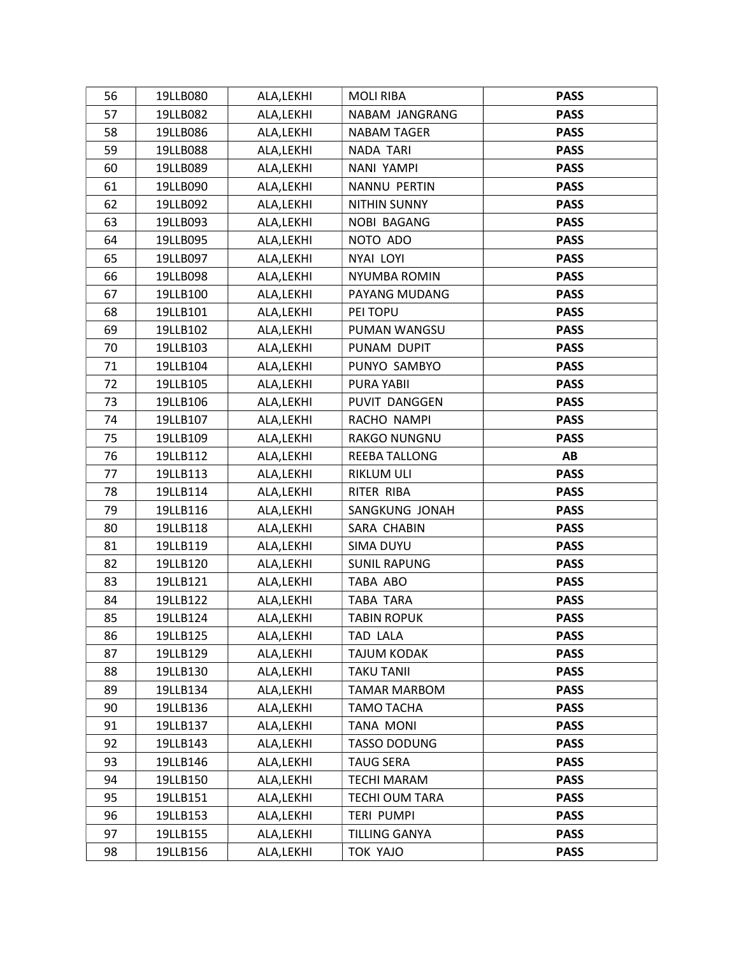| 56 | 19LLB080 | ALA, LEKHI | <b>MOLI RIBA</b>     | <b>PASS</b> |
|----|----------|------------|----------------------|-------------|
| 57 | 19LLB082 | ALA, LEKHI | NABAM JANGRANG       | <b>PASS</b> |
| 58 | 19LLB086 | ALA, LEKHI | <b>NABAM TAGER</b>   | <b>PASS</b> |
| 59 | 19LLB088 | ALA, LEKHI | NADA TARI            | <b>PASS</b> |
| 60 | 19LLB089 | ALA, LEKHI | NANI YAMPI           | <b>PASS</b> |
| 61 | 19LLB090 | ALA, LEKHI | NANNU PERTIN         | <b>PASS</b> |
| 62 | 19LLB092 | ALA, LEKHI | NITHIN SUNNY         | <b>PASS</b> |
| 63 | 19LLB093 | ALA, LEKHI | NOBI BAGANG          | <b>PASS</b> |
| 64 | 19LLB095 | ALA, LEKHI | NOTO ADO             | <b>PASS</b> |
| 65 | 19LLB097 | ALA, LEKHI | NYAI LOYI            | <b>PASS</b> |
| 66 | 19LLB098 | ALA, LEKHI | <b>NYUMBA ROMIN</b>  | <b>PASS</b> |
| 67 | 19LLB100 | ALA, LEKHI | PAYANG MUDANG        | <b>PASS</b> |
| 68 | 19LLB101 | ALA, LEKHI | PEI TOPU             | <b>PASS</b> |
| 69 | 19LLB102 | ALA, LEKHI | PUMAN WANGSU         | <b>PASS</b> |
| 70 | 19LLB103 | ALA, LEKHI | PUNAM DUPIT          | <b>PASS</b> |
| 71 | 19LLB104 | ALA, LEKHI | PUNYO SAMBYO         | <b>PASS</b> |
| 72 | 19LLB105 | ALA, LEKHI | PURA YABII           | <b>PASS</b> |
| 73 | 19LLB106 | ALA, LEKHI | PUVIT DANGGEN        | <b>PASS</b> |
| 74 | 19LLB107 | ALA, LEKHI | RACHO NAMPI          | <b>PASS</b> |
| 75 | 19LLB109 | ALA, LEKHI | RAKGO NUNGNU         | <b>PASS</b> |
| 76 | 19LLB112 | ALA, LEKHI | REEBA TALLONG        | AB          |
| 77 | 19LLB113 | ALA, LEKHI | RIKLUM ULI           | <b>PASS</b> |
| 78 | 19LLB114 | ALA, LEKHI | RITER RIBA           | <b>PASS</b> |
| 79 | 19LLB116 | ALA, LEKHI | SANGKUNG JONAH       | <b>PASS</b> |
| 80 | 19LLB118 | ALA, LEKHI | SARA CHABIN          | <b>PASS</b> |
| 81 | 19LLB119 | ALA, LEKHI | SIMA DUYU            | <b>PASS</b> |
| 82 | 19LLB120 | ALA, LEKHI | <b>SUNIL RAPUNG</b>  | <b>PASS</b> |
| 83 | 19LLB121 | ALA, LEKHI | TABA ABO             | <b>PASS</b> |
| 84 | 19LLB122 | ALA, LEKHI | TABA TARA            | <b>PASS</b> |
| 85 | 19LLB124 | ALA, LEKHI | <b>TABIN ROPUK</b>   | <b>PASS</b> |
| 86 | 19LLB125 | ALA, LEKHI | <b>TAD LALA</b>      | <b>PASS</b> |
| 87 | 19LLB129 | ALA, LEKHI | TAJUM KODAK          | <b>PASS</b> |
| 88 | 19LLB130 | ALA, LEKHI | <b>TAKU TANII</b>    | <b>PASS</b> |
| 89 | 19LLB134 | ALA, LEKHI | <b>TAMAR MARBOM</b>  | <b>PASS</b> |
| 90 | 19LLB136 | ALA, LEKHI | TAMO TACHA           | <b>PASS</b> |
| 91 | 19LLB137 | ALA, LEKHI | <b>TANA MONI</b>     | <b>PASS</b> |
| 92 | 19LLB143 | ALA, LEKHI | <b>TASSO DODUNG</b>  | <b>PASS</b> |
| 93 | 19LLB146 | ALA, LEKHI | <b>TAUG SERA</b>     | <b>PASS</b> |
| 94 | 19LLB150 | ALA, LEKHI | <b>TECHI MARAM</b>   | <b>PASS</b> |
| 95 | 19LLB151 | ALA, LEKHI | TECHI OUM TARA       | <b>PASS</b> |
| 96 | 19LLB153 | ALA, LEKHI | TERI PUMPI           | <b>PASS</b> |
| 97 | 19LLB155 | ALA, LEKHI | <b>TILLING GANYA</b> | <b>PASS</b> |
| 98 | 19LLB156 | ALA, LEKHI | TOK YAJO             | <b>PASS</b> |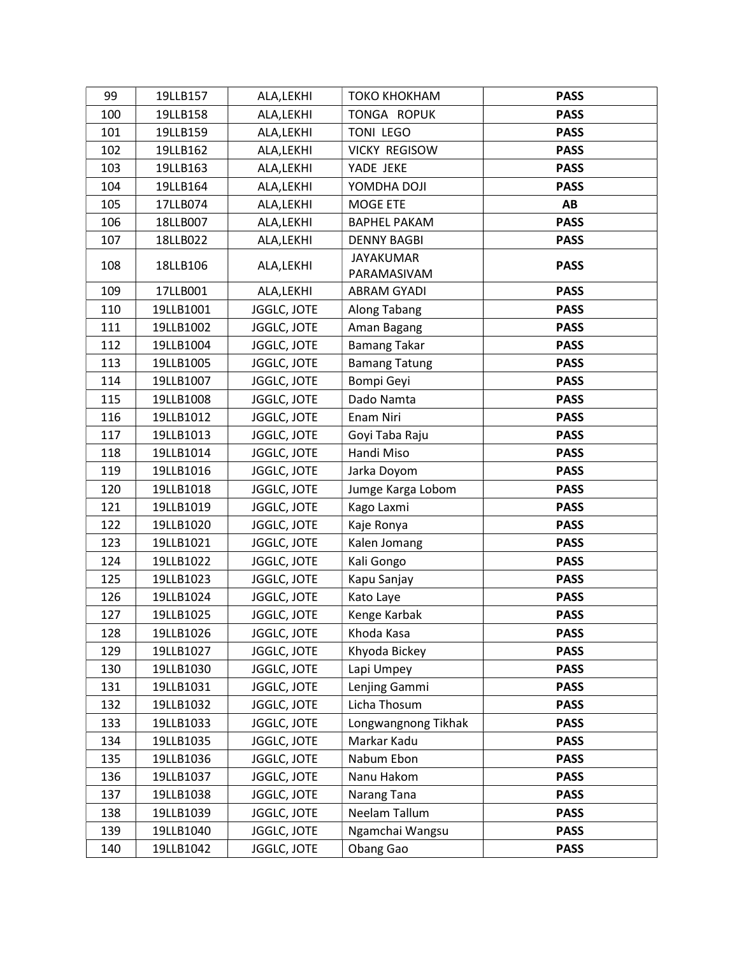| 99  | 19LLB157  | ALA, LEKHI  | ТОКО КНОКНАМ         | <b>PASS</b> |
|-----|-----------|-------------|----------------------|-------------|
| 100 | 19LLB158  | ALA, LEKHI  | TONGA ROPUK          | <b>PASS</b> |
| 101 | 19LLB159  | ALA, LEKHI  | TONI LEGO            | <b>PASS</b> |
| 102 | 19LLB162  | ALA, LEKHI  | <b>VICKY REGISOW</b> | <b>PASS</b> |
| 103 | 19LLB163  | ALA, LEKHI  | YADE JEKE            | <b>PASS</b> |
| 104 | 19LLB164  | ALA, LEKHI  | YOMDHA DOJI          | <b>PASS</b> |
| 105 | 17LLB074  | ALA, LEKHI  | MOGE ETE             | AB          |
| 106 | 18LLB007  | ALA, LEKHI  | <b>BAPHEL PAKAM</b>  | <b>PASS</b> |
| 107 | 18LLB022  | ALA, LEKHI  | <b>DENNY BAGBI</b>   | <b>PASS</b> |
| 108 | 18LLB106  | ALA, LEKHI  | <b>JAYAKUMAR</b>     | <b>PASS</b> |
|     |           |             | PARAMASIVAM          |             |
| 109 | 17LLB001  | ALA, LEKHI  | <b>ABRAM GYADI</b>   | <b>PASS</b> |
| 110 | 19LLB1001 | JGGLC, JOTE | Along Tabang         | <b>PASS</b> |
| 111 | 19LLB1002 | JGGLC, JOTE | Aman Bagang          | <b>PASS</b> |
| 112 | 19LLB1004 | JGGLC, JOTE | <b>Bamang Takar</b>  | <b>PASS</b> |
| 113 | 19LLB1005 | JGGLC, JOTE | <b>Bamang Tatung</b> | <b>PASS</b> |
| 114 | 19LLB1007 | JGGLC, JOTE | Bompi Geyi           | <b>PASS</b> |
| 115 | 19LLB1008 | JGGLC, JOTE | Dado Namta           | <b>PASS</b> |
| 116 | 19LLB1012 | JGGLC, JOTE | Enam Niri            | <b>PASS</b> |
| 117 | 19LLB1013 | JGGLC, JOTE | Goyi Taba Raju       | <b>PASS</b> |
| 118 | 19LLB1014 | JGGLC, JOTE | Handi Miso           | <b>PASS</b> |
| 119 | 19LLB1016 | JGGLC, JOTE | Jarka Doyom          | <b>PASS</b> |
| 120 | 19LLB1018 | JGGLC, JOTE | Jumge Karga Lobom    | <b>PASS</b> |
| 121 | 19LLB1019 | JGGLC, JOTE | Kago Laxmi           | <b>PASS</b> |
| 122 | 19LLB1020 | JGGLC, JOTE | Kaje Ronya           | <b>PASS</b> |
| 123 | 19LLB1021 | JGGLC, JOTE | Kalen Jomang         | <b>PASS</b> |
| 124 | 19LLB1022 | JGGLC, JOTE | Kali Gongo           | <b>PASS</b> |
| 125 | 19LLB1023 | JGGLC, JOTE | Kapu Sanjay          | <b>PASS</b> |
| 126 | 19LLB1024 | JGGLC, JOTE | Kato Laye            | <b>PASS</b> |
| 127 | 19LLB1025 | JGGLC, JOTE | Kenge Karbak         | <b>PASS</b> |
| 128 | 19LLB1026 | JGGLC, JOTE | Khoda Kasa           | <b>PASS</b> |
| 129 | 19LLB1027 | JGGLC, JOTE | Khyoda Bickey        | <b>PASS</b> |
| 130 | 19LLB1030 | JGGLC, JOTE | Lapi Umpey           | <b>PASS</b> |
| 131 | 19LLB1031 | JGGLC, JOTE | Lenjing Gammi        | <b>PASS</b> |
| 132 | 19LLB1032 | JGGLC, JOTE | Licha Thosum         | <b>PASS</b> |
| 133 | 19LLB1033 | JGGLC, JOTE | Longwangnong Tikhak  | <b>PASS</b> |
| 134 | 19LLB1035 | JGGLC, JOTE | Markar Kadu          | <b>PASS</b> |
| 135 | 19LLB1036 | JGGLC, JOTE | Nabum Ebon           | <b>PASS</b> |
| 136 | 19LLB1037 | JGGLC, JOTE | Nanu Hakom           | <b>PASS</b> |
| 137 | 19LLB1038 | JGGLC, JOTE | Narang Tana          | <b>PASS</b> |
| 138 | 19LLB1039 | JGGLC, JOTE | Neelam Tallum        | <b>PASS</b> |
| 139 | 19LLB1040 | JGGLC, JOTE | Ngamchai Wangsu      | <b>PASS</b> |
| 140 | 19LLB1042 | JGGLC, JOTE | Obang Gao            | <b>PASS</b> |